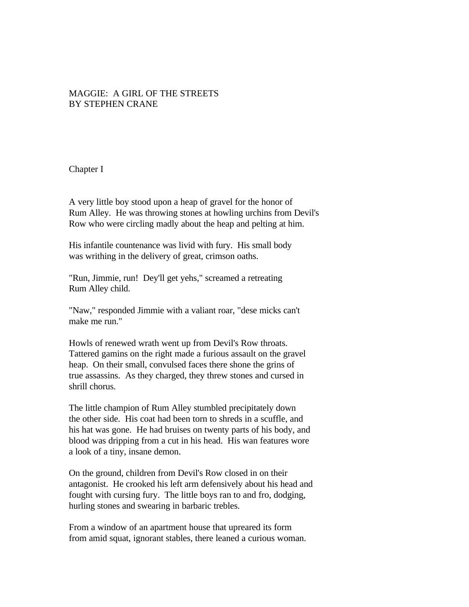## MAGGIE: A GIRL OF THE STREETS BY STEPHEN CRANE

Chapter I

A very little boy stood upon a heap of gravel for the honor of Rum Alley. He was throwing stones at howling urchins from Devil's Row who were circling madly about the heap and pelting at him.

His infantile countenance was livid with fury. His small body was writhing in the delivery of great, crimson oaths.

"Run, Jimmie, run! Dey'll get yehs," screamed a retreating Rum Alley child.

"Naw," responded Jimmie with a valiant roar, "dese micks can't make me run."

Howls of renewed wrath went up from Devil's Row throats. Tattered gamins on the right made a furious assault on the gravel heap. On their small, convulsed faces there shone the grins of true assassins. As they charged, they threw stones and cursed in shrill chorus.

The little champion of Rum Alley stumbled precipitately down the other side. His coat had been torn to shreds in a scuffle, and his hat was gone. He had bruises on twenty parts of his body, and blood was dripping from a cut in his head. His wan features wore a look of a tiny, insane demon.

On the ground, children from Devil's Row closed in on their antagonist. He crooked his left arm defensively about his head and fought with cursing fury. The little boys ran to and fro, dodging, hurling stones and swearing in barbaric trebles.

From a window of an apartment house that upreared its form from amid squat, ignorant stables, there leaned a curious woman.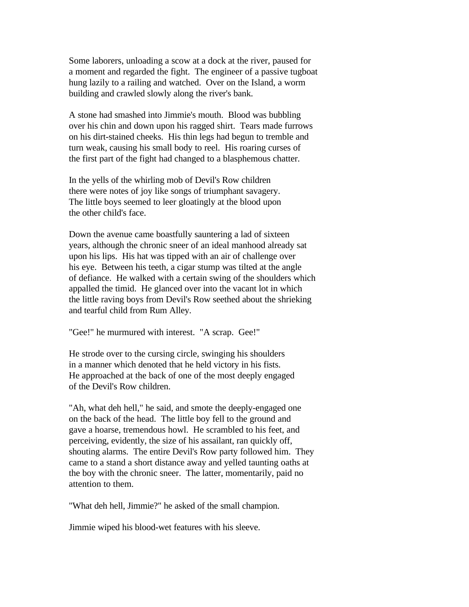Some laborers, unloading a scow at a dock at the river, paused for a moment and regarded the fight. The engineer of a passive tugboat hung lazily to a railing and watched. Over on the Island, a worm building and crawled slowly along the river's bank.

A stone had smashed into Jimmie's mouth. Blood was bubbling over his chin and down upon his ragged shirt. Tears made furrows on his dirt-stained cheeks. His thin legs had begun to tremble and turn weak, causing his small body to reel. His roaring curses of the first part of the fight had changed to a blasphemous chatter.

In the yells of the whirling mob of Devil's Row children there were notes of joy like songs of triumphant savagery. The little boys seemed to leer gloatingly at the blood upon the other child's face.

Down the avenue came boastfully sauntering a lad of sixteen years, although the chronic sneer of an ideal manhood already sat upon his lips. His hat was tipped with an air of challenge over his eye. Between his teeth, a cigar stump was tilted at the angle of defiance. He walked with a certain swing of the shoulders which appalled the timid. He glanced over into the vacant lot in which the little raving boys from Devil's Row seethed about the shrieking and tearful child from Rum Alley.

"Gee!" he murmured with interest. "A scrap. Gee!"

He strode over to the cursing circle, swinging his shoulders in a manner which denoted that he held victory in his fists. He approached at the back of one of the most deeply engaged of the Devil's Row children.

"Ah, what deh hell," he said, and smote the deeply-engaged one on the back of the head. The little boy fell to the ground and gave a hoarse, tremendous howl. He scrambled to his feet, and perceiving, evidently, the size of his assailant, ran quickly off, shouting alarms. The entire Devil's Row party followed him. They came to a stand a short distance away and yelled taunting oaths at the boy with the chronic sneer. The latter, momentarily, paid no attention to them.

"What deh hell, Jimmie?" he asked of the small champion.

Jimmie wiped his blood-wet features with his sleeve.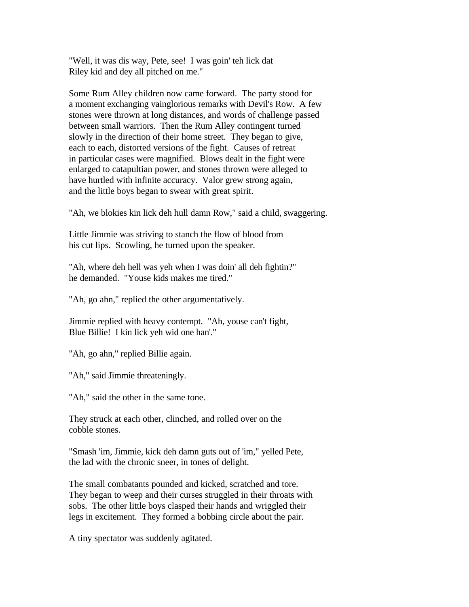"Well, it was dis way, Pete, see! I was goin' teh lick dat Riley kid and dey all pitched on me."

Some Rum Alley children now came forward. The party stood for a moment exchanging vainglorious remarks with Devil's Row. A few stones were thrown at long distances, and words of challenge passed between small warriors. Then the Rum Alley contingent turned slowly in the direction of their home street. They began to give, each to each, distorted versions of the fight. Causes of retreat in particular cases were magnified. Blows dealt in the fight were enlarged to catapultian power, and stones thrown were alleged to have hurtled with infinite accuracy. Valor grew strong again, and the little boys began to swear with great spirit.

"Ah, we blokies kin lick deh hull damn Row," said a child, swaggering.

Little Jimmie was striving to stanch the flow of blood from his cut lips. Scowling, he turned upon the speaker.

"Ah, where deh hell was yeh when I was doin' all deh fightin?" he demanded. "Youse kids makes me tired."

"Ah, go ahn," replied the other argumentatively.

Jimmie replied with heavy contempt. "Ah, youse can't fight, Blue Billie! I kin lick yeh wid one han'."

"Ah, go ahn," replied Billie again.

"Ah," said Jimmie threateningly.

"Ah," said the other in the same tone.

They struck at each other, clinched, and rolled over on the cobble stones.

"Smash 'im, Jimmie, kick deh damn guts out of 'im," yelled Pete, the lad with the chronic sneer, in tones of delight.

The small combatants pounded and kicked, scratched and tore. They began to weep and their curses struggled in their throats with sobs. The other little boys clasped their hands and wriggled their legs in excitement. They formed a bobbing circle about the pair.

A tiny spectator was suddenly agitated.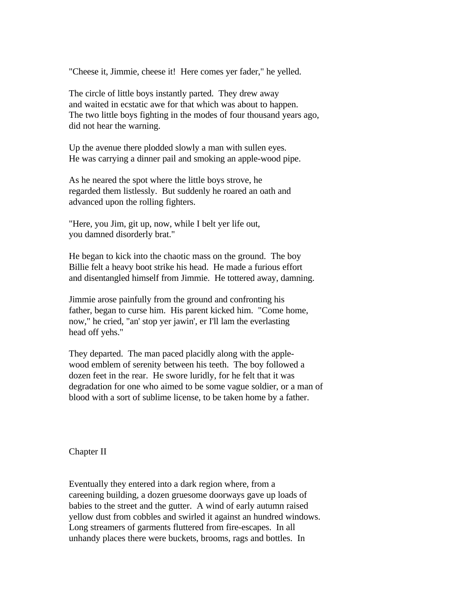"Cheese it, Jimmie, cheese it! Here comes yer fader," he yelled.

The circle of little boys instantly parted. They drew away and waited in ecstatic awe for that which was about to happen. The two little boys fighting in the modes of four thousand years ago, did not hear the warning.

Up the avenue there plodded slowly a man with sullen eyes. He was carrying a dinner pail and smoking an apple-wood pipe.

As he neared the spot where the little boys strove, he regarded them listlessly. But suddenly he roared an oath and advanced upon the rolling fighters.

"Here, you Jim, git up, now, while I belt yer life out, you damned disorderly brat."

He began to kick into the chaotic mass on the ground. The boy Billie felt a heavy boot strike his head. He made a furious effort and disentangled himself from Jimmie. He tottered away, damning.

Jimmie arose painfully from the ground and confronting his father, began to curse him. His parent kicked him. "Come home, now," he cried, "an' stop yer jawin', er I'll lam the everlasting head off yehs."

They departed. The man paced placidly along with the applewood emblem of serenity between his teeth. The boy followed a dozen feet in the rear. He swore luridly, for he felt that it was degradation for one who aimed to be some vague soldier, or a man of blood with a sort of sublime license, to be taken home by a father.

Chapter II

Eventually they entered into a dark region where, from a careening building, a dozen gruesome doorways gave up loads of babies to the street and the gutter. A wind of early autumn raised yellow dust from cobbles and swirled it against an hundred windows. Long streamers of garments fluttered from fire-escapes. In all unhandy places there were buckets, brooms, rags and bottles. In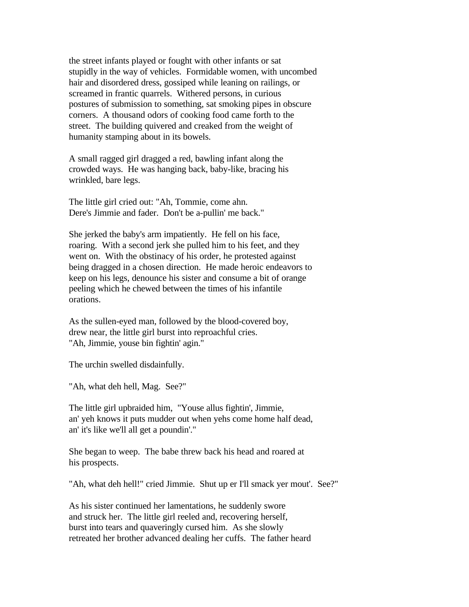the street infants played or fought with other infants or sat stupidly in the way of vehicles. Formidable women, with uncombed hair and disordered dress, gossiped while leaning on railings, or screamed in frantic quarrels. Withered persons, in curious postures of submission to something, sat smoking pipes in obscure corners. A thousand odors of cooking food came forth to the street. The building quivered and creaked from the weight of humanity stamping about in its bowels.

A small ragged girl dragged a red, bawling infant along the crowded ways. He was hanging back, baby-like, bracing his wrinkled, bare legs.

The little girl cried out: "Ah, Tommie, come ahn. Dere's Jimmie and fader. Don't be a-pullin' me back."

She jerked the baby's arm impatiently. He fell on his face, roaring. With a second jerk she pulled him to his feet, and they went on. With the obstinacy of his order, he protested against being dragged in a chosen direction. He made heroic endeavors to keep on his legs, denounce his sister and consume a bit of orange peeling which he chewed between the times of his infantile orations.

As the sullen-eyed man, followed by the blood-covered boy, drew near, the little girl burst into reproachful cries. "Ah, Jimmie, youse bin fightin' agin."

The urchin swelled disdainfully.

"Ah, what deh hell, Mag. See?"

The little girl upbraided him, "Youse allus fightin', Jimmie, an' yeh knows it puts mudder out when yehs come home half dead, an' it's like we'll all get a poundin'."

She began to weep. The babe threw back his head and roared at his prospects.

"Ah, what deh hell!" cried Jimmie. Shut up er I'll smack yer mout'. See?"

As his sister continued her lamentations, he suddenly swore and struck her. The little girl reeled and, recovering herself, burst into tears and quaveringly cursed him. As she slowly retreated her brother advanced dealing her cuffs. The father heard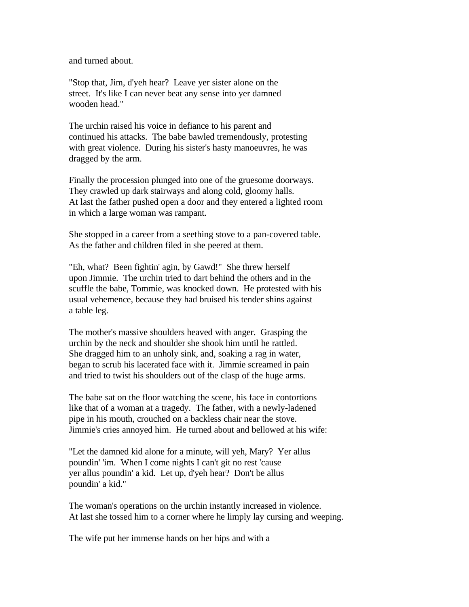and turned about.

"Stop that, Jim, d'yeh hear? Leave yer sister alone on the street. It's like I can never beat any sense into yer damned wooden head."

The urchin raised his voice in defiance to his parent and continued his attacks. The babe bawled tremendously, protesting with great violence. During his sister's hasty manoeuvres, he was dragged by the arm.

Finally the procession plunged into one of the gruesome doorways. They crawled up dark stairways and along cold, gloomy halls. At last the father pushed open a door and they entered a lighted room in which a large woman was rampant.

She stopped in a career from a seething stove to a pan-covered table. As the father and children filed in she peered at them.

"Eh, what? Been fightin' agin, by Gawd!" She threw herself upon Jimmie. The urchin tried to dart behind the others and in the scuffle the babe, Tommie, was knocked down. He protested with his usual vehemence, because they had bruised his tender shins against a table leg.

The mother's massive shoulders heaved with anger. Grasping the urchin by the neck and shoulder she shook him until he rattled. She dragged him to an unholy sink, and, soaking a rag in water, began to scrub his lacerated face with it. Jimmie screamed in pain and tried to twist his shoulders out of the clasp of the huge arms.

The babe sat on the floor watching the scene, his face in contortions like that of a woman at a tragedy. The father, with a newly-ladened pipe in his mouth, crouched on a backless chair near the stove. Jimmie's cries annoyed him. He turned about and bellowed at his wife:

"Let the damned kid alone for a minute, will yeh, Mary? Yer allus poundin' 'im. When I come nights I can't git no rest 'cause yer allus poundin' a kid. Let up, d'yeh hear? Don't be allus poundin' a kid."

The woman's operations on the urchin instantly increased in violence. At last she tossed him to a corner where he limply lay cursing and weeping.

The wife put her immense hands on her hips and with a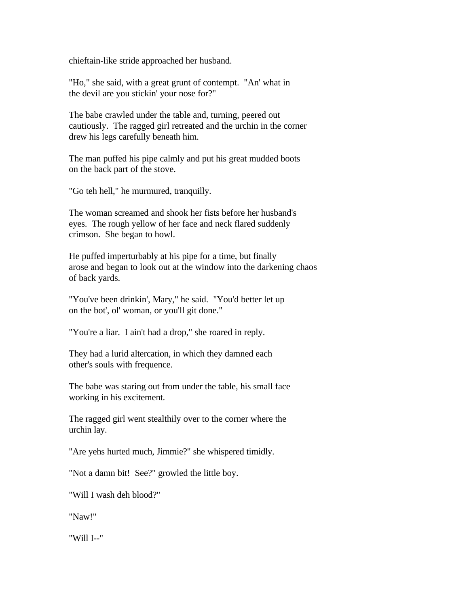chieftain-like stride approached her husband.

"Ho," she said, with a great grunt of contempt. "An' what in the devil are you stickin' your nose for?"

The babe crawled under the table and, turning, peered out cautiously. The ragged girl retreated and the urchin in the corner drew his legs carefully beneath him.

The man puffed his pipe calmly and put his great mudded boots on the back part of the stove.

"Go teh hell," he murmured, tranquilly.

The woman screamed and shook her fists before her husband's eyes. The rough yellow of her face and neck flared suddenly crimson. She began to howl.

He puffed imperturbably at his pipe for a time, but finally arose and began to look out at the window into the darkening chaos of back yards.

"You've been drinkin', Mary," he said. "You'd better let up on the bot', ol' woman, or you'll git done."

"You're a liar. I ain't had a drop," she roared in reply.

They had a lurid altercation, in which they damned each other's souls with frequence.

The babe was staring out from under the table, his small face working in his excitement.

The ragged girl went stealthily over to the corner where the urchin lay.

"Are yehs hurted much, Jimmie?" she whispered timidly.

"Not a damn bit! See?" growled the little boy.

"Will I wash deh blood?"

"Naw!"

"Will I--"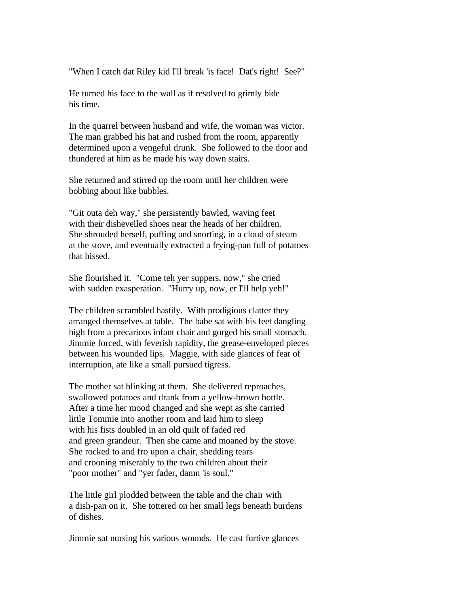"When I catch dat Riley kid I'll break 'is face! Dat's right! See?"

He turned his face to the wall as if resolved to grimly bide his time.

In the quarrel between husband and wife, the woman was victor. The man grabbed his hat and rushed from the room, apparently determined upon a vengeful drunk. She followed to the door and thundered at him as he made his way down stairs.

She returned and stirred up the room until her children were bobbing about like bubbles.

"Git outa deh way," she persistently bawled, waving feet with their dishevelled shoes near the heads of her children. She shrouded herself, puffing and snorting, in a cloud of steam at the stove, and eventually extracted a frying-pan full of potatoes that hissed.

She flourished it. "Come teh yer suppers, now," she cried with sudden exasperation. "Hurry up, now, er I'll help yeh!"

The children scrambled hastily. With prodigious clatter they arranged themselves at table. The babe sat with his feet dangling high from a precarious infant chair and gorged his small stomach. Jimmie forced, with feverish rapidity, the grease-enveloped pieces between his wounded lips. Maggie, with side glances of fear of interruption, ate like a small pursued tigress.

The mother sat blinking at them. She delivered reproaches, swallowed potatoes and drank from a yellow-brown bottle. After a time her mood changed and she wept as she carried little Tommie into another room and laid him to sleep with his fists doubled in an old quilt of faded red and green grandeur. Then she came and moaned by the stove. She rocked to and fro upon a chair, shedding tears and crooning miserably to the two children about their "poor mother" and "yer fader, damn 'is soul."

The little girl plodded between the table and the chair with a dish-pan on it. She tottered on her small legs beneath burdens of dishes.

Jimmie sat nursing his various wounds. He cast furtive glances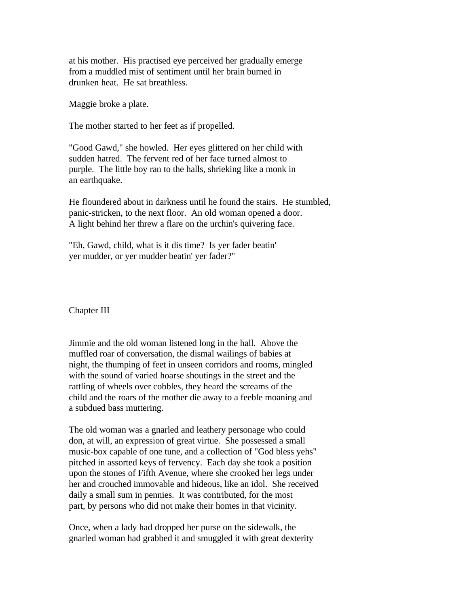at his mother. His practised eye perceived her gradually emerge from a muddled mist of sentiment until her brain burned in drunken heat. He sat breathless.

Maggie broke a plate.

The mother started to her feet as if propelled.

"Good Gawd," she howled. Her eyes glittered on her child with sudden hatred. The fervent red of her face turned almost to purple. The little boy ran to the halls, shrieking like a monk in an earthquake.

He floundered about in darkness until he found the stairs. He stumbled, panic-stricken, to the next floor. An old woman opened a door. A light behind her threw a flare on the urchin's quivering face.

"Eh, Gawd, child, what is it dis time? Is yer fader beatin' yer mudder, or yer mudder beatin' yer fader?"

Chapter III

Jimmie and the old woman listened long in the hall. Above the muffled roar of conversation, the dismal wailings of babies at night, the thumping of feet in unseen corridors and rooms, mingled with the sound of varied hoarse shoutings in the street and the rattling of wheels over cobbles, they heard the screams of the child and the roars of the mother die away to a feeble moaning and a subdued bass muttering.

The old woman was a gnarled and leathery personage who could don, at will, an expression of great virtue. She possessed a small music-box capable of one tune, and a collection of "God bless yehs" pitched in assorted keys of fervency. Each day she took a position upon the stones of Fifth Avenue, where she crooked her legs under her and crouched immovable and hideous, like an idol. She received daily a small sum in pennies. It was contributed, for the most part, by persons who did not make their homes in that vicinity.

Once, when a lady had dropped her purse on the sidewalk, the gnarled woman had grabbed it and smuggled it with great dexterity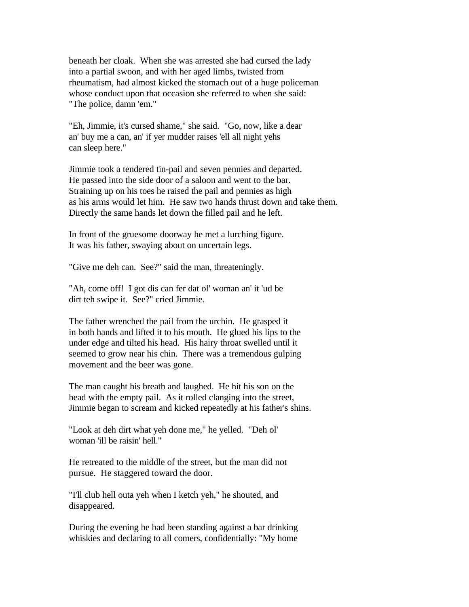beneath her cloak. When she was arrested she had cursed the lady into a partial swoon, and with her aged limbs, twisted from rheumatism, had almost kicked the stomach out of a huge policeman whose conduct upon that occasion she referred to when she said: "The police, damn 'em."

"Eh, Jimmie, it's cursed shame," she said. "Go, now, like a dear an' buy me a can, an' if yer mudder raises 'ell all night yehs can sleep here."

Jimmie took a tendered tin-pail and seven pennies and departed. He passed into the side door of a saloon and went to the bar. Straining up on his toes he raised the pail and pennies as high as his arms would let him. He saw two hands thrust down and take them. Directly the same hands let down the filled pail and he left.

In front of the gruesome doorway he met a lurching figure. It was his father, swaying about on uncertain legs.

"Give me deh can. See?" said the man, threateningly.

"Ah, come off! I got dis can fer dat ol' woman an' it 'ud be dirt teh swipe it. See?" cried Jimmie.

The father wrenched the pail from the urchin. He grasped it in both hands and lifted it to his mouth. He glued his lips to the under edge and tilted his head. His hairy throat swelled until it seemed to grow near his chin. There was a tremendous gulping movement and the beer was gone.

The man caught his breath and laughed. He hit his son on the head with the empty pail. As it rolled clanging into the street, Jimmie began to scream and kicked repeatedly at his father's shins.

"Look at deh dirt what yeh done me," he yelled. "Deh ol' woman 'ill be raisin' hell."

He retreated to the middle of the street, but the man did not pursue. He staggered toward the door.

"I'll club hell outa yeh when I ketch yeh," he shouted, and disappeared.

During the evening he had been standing against a bar drinking whiskies and declaring to all comers, confidentially: "My home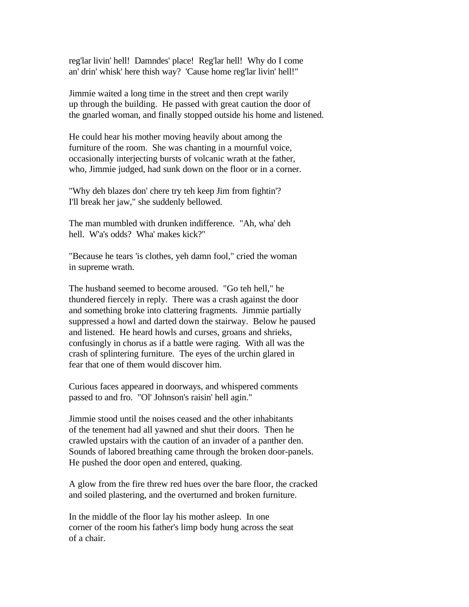reg'lar livin' hell! Damndes' place! Reg'lar hell! Why do I come an' drin' whisk' here thish way? 'Cause home reg'lar livin' hell!"

Jimmie waited a long time in the street and then crept warily up through the building. He passed with great caution the door of the gnarled woman, and finally stopped outside his home and listened.

He could hear his mother moving heavily about among the furniture of the room. She was chanting in a mournful voice, occasionally interjecting bursts of volcanic wrath at the father, who, Jimmie judged, had sunk down on the floor or in a corner.

"Why deh blazes don' chere try teh keep Jim from fightin'? I'll break her jaw," she suddenly bellowed.

The man mumbled with drunken indifference. "Ah, wha' deh hell. W'a's odds? Wha' makes kick?"

"Because he tears 'is clothes, yeh damn fool," cried the woman in supreme wrath.

The husband seemed to become aroused. "Go teh hell," he thundered fiercely in reply. There was a crash against the door and something broke into clattering fragments. Jimmie partially suppressed a howl and darted down the stairway. Below he paused and listened. He heard howls and curses, groans and shrieks, confusingly in chorus as if a battle were raging. With all was the crash of splintering furniture. The eyes of the urchin glared in fear that one of them would discover him.

Curious faces appeared in doorways, and whispered comments passed to and fro. "Ol' Johnson's raisin' hell agin."

Jimmie stood until the noises ceased and the other inhabitants of the tenement had all yawned and shut their doors. Then he crawled upstairs with the caution of an invader of a panther den. Sounds of labored breathing came through the broken door-panels. He pushed the door open and entered, quaking.

A glow from the fire threw red hues over the bare floor, the cracked and soiled plastering, and the overturned and broken furniture.

In the middle of the floor lay his mother asleep. In one corner of the room his father's limp body hung across the seat of a chair.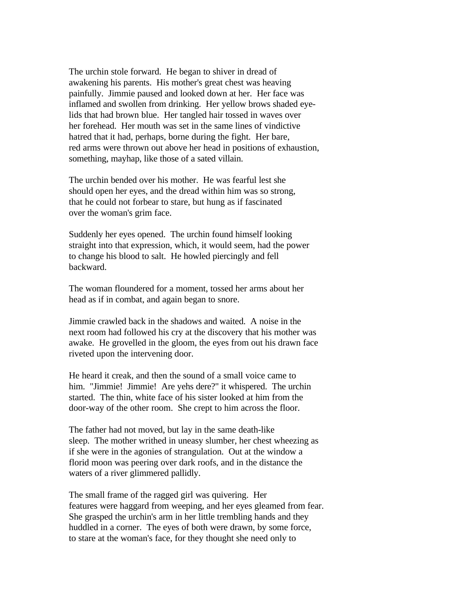The urchin stole forward. He began to shiver in dread of awakening his parents. His mother's great chest was heaving painfully. Jimmie paused and looked down at her. Her face was inflamed and swollen from drinking. Her yellow brows shaded eyelids that had brown blue. Her tangled hair tossed in waves over her forehead. Her mouth was set in the same lines of vindictive hatred that it had, perhaps, borne during the fight. Her bare, red arms were thrown out above her head in positions of exhaustion, something, mayhap, like those of a sated villain.

The urchin bended over his mother. He was fearful lest she should open her eyes, and the dread within him was so strong, that he could not forbear to stare, but hung as if fascinated over the woman's grim face.

Suddenly her eyes opened. The urchin found himself looking straight into that expression, which, it would seem, had the power to change his blood to salt. He howled piercingly and fell backward.

The woman floundered for a moment, tossed her arms about her head as if in combat, and again began to snore.

Jimmie crawled back in the shadows and waited. A noise in the next room had followed his cry at the discovery that his mother was awake. He grovelled in the gloom, the eyes from out his drawn face riveted upon the intervening door.

He heard it creak, and then the sound of a small voice came to him. "Jimmie! Jimmie! Are yehs dere?" it whispered. The urchin started. The thin, white face of his sister looked at him from the door-way of the other room. She crept to him across the floor.

The father had not moved, but lay in the same death-like sleep. The mother writhed in uneasy slumber, her chest wheezing as if she were in the agonies of strangulation. Out at the window a florid moon was peering over dark roofs, and in the distance the waters of a river glimmered pallidly.

The small frame of the ragged girl was quivering. Her features were haggard from weeping, and her eyes gleamed from fear. She grasped the urchin's arm in her little trembling hands and they huddled in a corner. The eyes of both were drawn, by some force, to stare at the woman's face, for they thought she need only to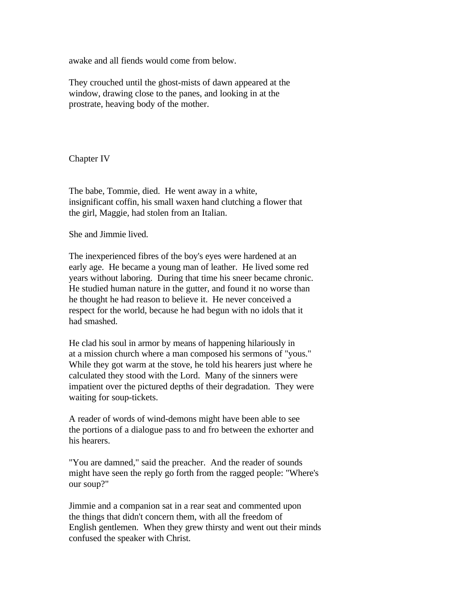awake and all fiends would come from below.

They crouched until the ghost-mists of dawn appeared at the window, drawing close to the panes, and looking in at the prostrate, heaving body of the mother.

Chapter IV

The babe, Tommie, died. He went away in a white, insignificant coffin, his small waxen hand clutching a flower that the girl, Maggie, had stolen from an Italian.

She and Jimmie lived.

The inexperienced fibres of the boy's eyes were hardened at an early age. He became a young man of leather. He lived some red years without laboring. During that time his sneer became chronic. He studied human nature in the gutter, and found it no worse than he thought he had reason to believe it. He never conceived a respect for the world, because he had begun with no idols that it had smashed.

He clad his soul in armor by means of happening hilariously in at a mission church where a man composed his sermons of "yous." While they got warm at the stove, he told his hearers just where he calculated they stood with the Lord. Many of the sinners were impatient over the pictured depths of their degradation. They were waiting for soup-tickets.

A reader of words of wind-demons might have been able to see the portions of a dialogue pass to and fro between the exhorter and his hearers.

"You are damned," said the preacher. And the reader of sounds might have seen the reply go forth from the ragged people: "Where's our soup?"

Jimmie and a companion sat in a rear seat and commented upon the things that didn't concern them, with all the freedom of English gentlemen. When they grew thirsty and went out their minds confused the speaker with Christ.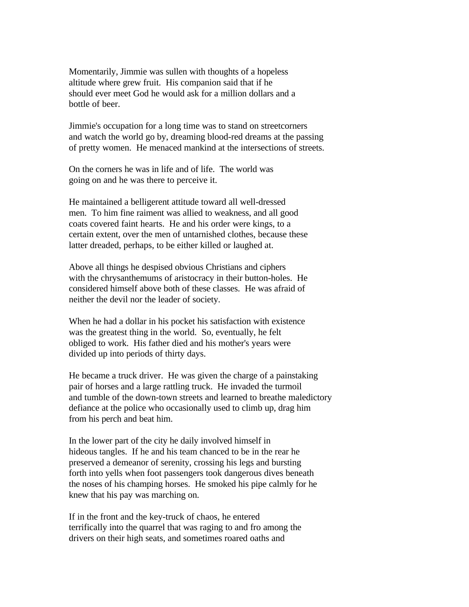Momentarily, Jimmie was sullen with thoughts of a hopeless altitude where grew fruit. His companion said that if he should ever meet God he would ask for a million dollars and a bottle of beer.

Jimmie's occupation for a long time was to stand on streetcorners and watch the world go by, dreaming blood-red dreams at the passing of pretty women. He menaced mankind at the intersections of streets.

On the corners he was in life and of life. The world was going on and he was there to perceive it.

He maintained a belligerent attitude toward all well-dressed men. To him fine raiment was allied to weakness, and all good coats covered faint hearts. He and his order were kings, to a certain extent, over the men of untarnished clothes, because these latter dreaded, perhaps, to be either killed or laughed at.

Above all things he despised obvious Christians and ciphers with the chrysanthemums of aristocracy in their button-holes. He considered himself above both of these classes. He was afraid of neither the devil nor the leader of society.

When he had a dollar in his pocket his satisfaction with existence was the greatest thing in the world. So, eventually, he felt obliged to work. His father died and his mother's years were divided up into periods of thirty days.

He became a truck driver. He was given the charge of a painstaking pair of horses and a large rattling truck. He invaded the turmoil and tumble of the down-town streets and learned to breathe maledictory defiance at the police who occasionally used to climb up, drag him from his perch and beat him.

In the lower part of the city he daily involved himself in hideous tangles. If he and his team chanced to be in the rear he preserved a demeanor of serenity, crossing his legs and bursting forth into yells when foot passengers took dangerous dives beneath the noses of his champing horses. He smoked his pipe calmly for he knew that his pay was marching on.

If in the front and the key-truck of chaos, he entered terrifically into the quarrel that was raging to and fro among the drivers on their high seats, and sometimes roared oaths and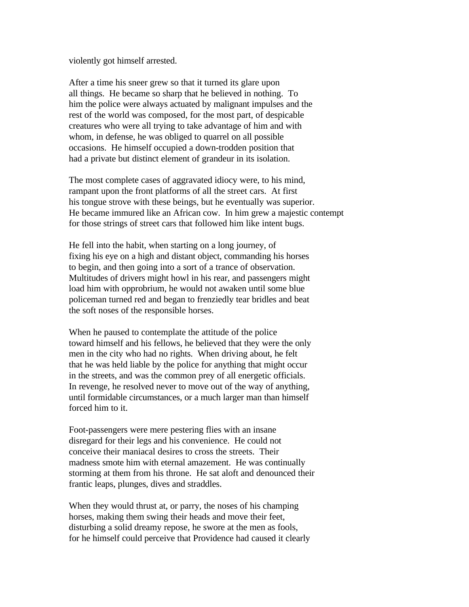violently got himself arrested.

After a time his sneer grew so that it turned its glare upon all things. He became so sharp that he believed in nothing. To him the police were always actuated by malignant impulses and the rest of the world was composed, for the most part, of despicable creatures who were all trying to take advantage of him and with whom, in defense, he was obliged to quarrel on all possible occasions. He himself occupied a down-trodden position that had a private but distinct element of grandeur in its isolation.

The most complete cases of aggravated idiocy were, to his mind, rampant upon the front platforms of all the street cars. At first his tongue strove with these beings, but he eventually was superior. He became immured like an African cow. In him grew a majestic contempt for those strings of street cars that followed him like intent bugs.

He fell into the habit, when starting on a long journey, of fixing his eye on a high and distant object, commanding his horses to begin, and then going into a sort of a trance of observation. Multitudes of drivers might howl in his rear, and passengers might load him with opprobrium, he would not awaken until some blue policeman turned red and began to frenziedly tear bridles and beat the soft noses of the responsible horses.

When he paused to contemplate the attitude of the police toward himself and his fellows, he believed that they were the only men in the city who had no rights. When driving about, he felt that he was held liable by the police for anything that might occur in the streets, and was the common prey of all energetic officials. In revenge, he resolved never to move out of the way of anything, until formidable circumstances, or a much larger man than himself forced him to it.

Foot-passengers were mere pestering flies with an insane disregard for their legs and his convenience. He could not conceive their maniacal desires to cross the streets. Their madness smote him with eternal amazement. He was continually storming at them from his throne. He sat aloft and denounced their frantic leaps, plunges, dives and straddles.

When they would thrust at, or parry, the noses of his champing horses, making them swing their heads and move their feet, disturbing a solid dreamy repose, he swore at the men as fools, for he himself could perceive that Providence had caused it clearly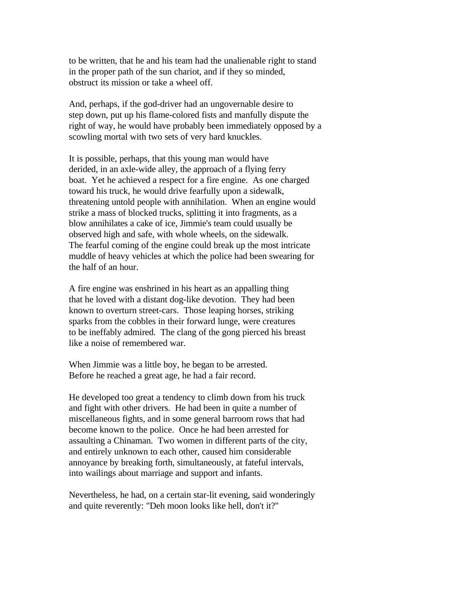to be written, that he and his team had the unalienable right to stand in the proper path of the sun chariot, and if they so minded, obstruct its mission or take a wheel off.

And, perhaps, if the god-driver had an ungovernable desire to step down, put up his flame-colored fists and manfully dispute the right of way, he would have probably been immediately opposed by a scowling mortal with two sets of very hard knuckles.

It is possible, perhaps, that this young man would have derided, in an axle-wide alley, the approach of a flying ferry boat. Yet he achieved a respect for a fire engine. As one charged toward his truck, he would drive fearfully upon a sidewalk, threatening untold people with annihilation. When an engine would strike a mass of blocked trucks, splitting it into fragments, as a blow annihilates a cake of ice, Jimmie's team could usually be observed high and safe, with whole wheels, on the sidewalk. The fearful coming of the engine could break up the most intricate muddle of heavy vehicles at which the police had been swearing for the half of an hour.

A fire engine was enshrined in his heart as an appalling thing that he loved with a distant dog-like devotion. They had been known to overturn street-cars. Those leaping horses, striking sparks from the cobbles in their forward lunge, were creatures to be ineffably admired. The clang of the gong pierced his breast like a noise of remembered war.

When Jimmie was a little boy, he began to be arrested. Before he reached a great age, he had a fair record.

He developed too great a tendency to climb down from his truck and fight with other drivers. He had been in quite a number of miscellaneous fights, and in some general barroom rows that had become known to the police. Once he had been arrested for assaulting a Chinaman. Two women in different parts of the city, and entirely unknown to each other, caused him considerable annoyance by breaking forth, simultaneously, at fateful intervals, into wailings about marriage and support and infants.

Nevertheless, he had, on a certain star-lit evening, said wonderingly and quite reverently: "Deh moon looks like hell, don't it?"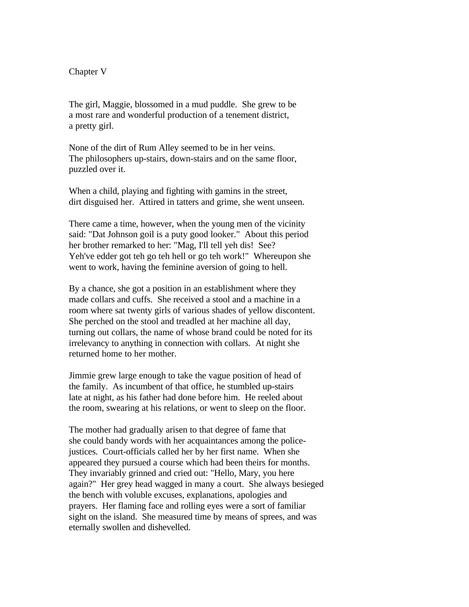## Chapter V

The girl, Maggie, blossomed in a mud puddle. She grew to be a most rare and wonderful production of a tenement district, a pretty girl.

None of the dirt of Rum Alley seemed to be in her veins. The philosophers up-stairs, down-stairs and on the same floor, puzzled over it.

When a child, playing and fighting with gamins in the street, dirt disguised her. Attired in tatters and grime, she went unseen.

There came a time, however, when the young men of the vicinity said: "Dat Johnson goil is a puty good looker." About this period her brother remarked to her: "Mag, I'll tell yeh dis! See? Yeh've edder got teh go teh hell or go teh work!" Whereupon she went to work, having the feminine aversion of going to hell.

By a chance, she got a position in an establishment where they made collars and cuffs. She received a stool and a machine in a room where sat twenty girls of various shades of yellow discontent. She perched on the stool and treadled at her machine all day, turning out collars, the name of whose brand could be noted for its irrelevancy to anything in connection with collars. At night she returned home to her mother.

Jimmie grew large enough to take the vague position of head of the family. As incumbent of that office, he stumbled up-stairs late at night, as his father had done before him. He reeled about the room, swearing at his relations, or went to sleep on the floor.

The mother had gradually arisen to that degree of fame that she could bandy words with her acquaintances among the policejustices. Court-officials called her by her first name. When she appeared they pursued a course which had been theirs for months. They invariably grinned and cried out: "Hello, Mary, you here again?" Her grey head wagged in many a court. She always besieged the bench with voluble excuses, explanations, apologies and prayers. Her flaming face and rolling eyes were a sort of familiar sight on the island. She measured time by means of sprees, and was eternally swollen and dishevelled.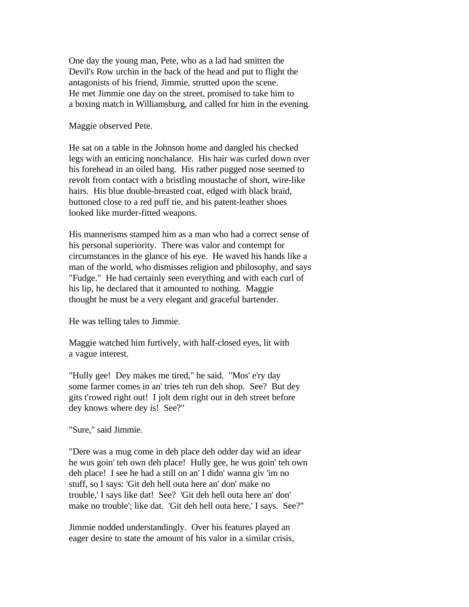One day the young man, Pete, who as a lad had smitten the Devil's Row urchin in the back of the head and put to flight the antagonists of his friend, Jimmie, strutted upon the scene. He met Jimmie one day on the street, promised to take him to a boxing match in Williamsburg, and called for him in the evening.

Maggie observed Pete.

He sat on a table in the Johnson home and dangled his checked legs with an enticing nonchalance. His hair was curled down over his forehead in an oiled bang. His rather pugged nose seemed to revolt from contact with a bristling moustache of short, wire-like hairs. His blue double-breasted coat, edged with black braid, buttoned close to a red puff tie, and his patent-leather shoes looked like murder-fitted weapons.

His mannerisms stamped him as a man who had a correct sense of his personal superiority. There was valor and contempt for circumstances in the glance of his eye. He waved his hands like a man of the world, who dismisses religion and philosophy, and says "Fudge." He had certainly seen everything and with each curl of his lip, he declared that it amounted to nothing. Maggie thought he must be a very elegant and graceful bartender.

He was telling tales to Jimmie.

Maggie watched him furtively, with half-closed eyes, lit with a vague interest.

"Hully gee! Dey makes me tired," he said. "Mos' e'ry day some farmer comes in an' tries teh run deh shop. See? But dey gits t'rowed right out! I jolt dem right out in deh street before dey knows where dey is! See?"

"Sure," said Jimmie.

"Dere was a mug come in deh place deh odder day wid an idear he wus goin' teh own deh place! Hully gee, he wus goin' teh own deh place! I see he had a still on an' I didn' wanna giv 'im no stuff, so I says: 'Git deh hell outa here an' don' make no trouble,' I says like dat! See? 'Git deh hell outa here an' don' make no trouble'; like dat. 'Git deh hell outa here,' I says. See?"

Jimmie nodded understandingly. Over his features played an eager desire to state the amount of his valor in a similar crisis,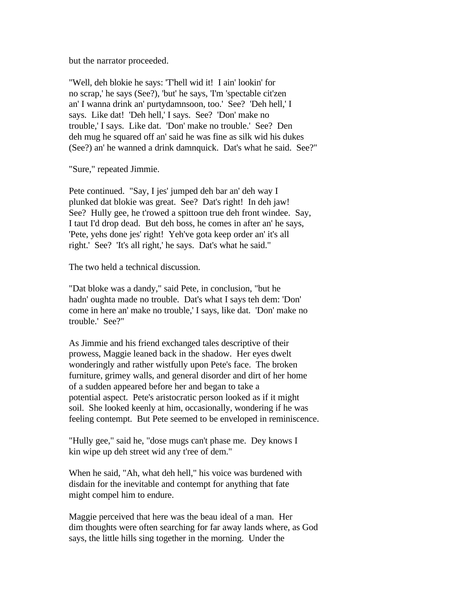but the narrator proceeded.

"Well, deh blokie he says: 'T'hell wid it! I ain' lookin' for no scrap,' he says (See?), 'but' he says, 'I'm 'spectable cit'zen an' I wanna drink an' purtydamnsoon, too.' See? 'Deh hell,' I says. Like dat! 'Deh hell,' I says. See? 'Don' make no trouble,' I says. Like dat. 'Don' make no trouble.' See? Den deh mug he squared off an' said he was fine as silk wid his dukes (See?) an' he wanned a drink damnquick. Dat's what he said. See?"

"Sure," repeated Jimmie.

Pete continued. "Say, I jes' jumped deh bar an' deh way I plunked dat blokie was great. See? Dat's right! In deh jaw! See? Hully gee, he t'rowed a spittoon true deh front windee. Say, I taut I'd drop dead. But deh boss, he comes in after an' he says, 'Pete, yehs done jes' right! Yeh've gota keep order an' it's all right.' See? 'It's all right,' he says. Dat's what he said."

The two held a technical discussion.

"Dat bloke was a dandy," said Pete, in conclusion, "but he hadn' oughta made no trouble. Dat's what I says teh dem: 'Don' come in here an' make no trouble,' I says, like dat. 'Don' make no trouble.' See?"

As Jimmie and his friend exchanged tales descriptive of their prowess, Maggie leaned back in the shadow. Her eyes dwelt wonderingly and rather wistfully upon Pete's face. The broken furniture, grimey walls, and general disorder and dirt of her home of a sudden appeared before her and began to take a potential aspect. Pete's aristocratic person looked as if it might soil. She looked keenly at him, occasionally, wondering if he was feeling contempt. But Pete seemed to be enveloped in reminiscence.

"Hully gee," said he, "dose mugs can't phase me. Dey knows I kin wipe up deh street wid any t'ree of dem."

When he said, "Ah, what deh hell," his voice was burdened with disdain for the inevitable and contempt for anything that fate might compel him to endure.

Maggie perceived that here was the beau ideal of a man. Her dim thoughts were often searching for far away lands where, as God says, the little hills sing together in the morning. Under the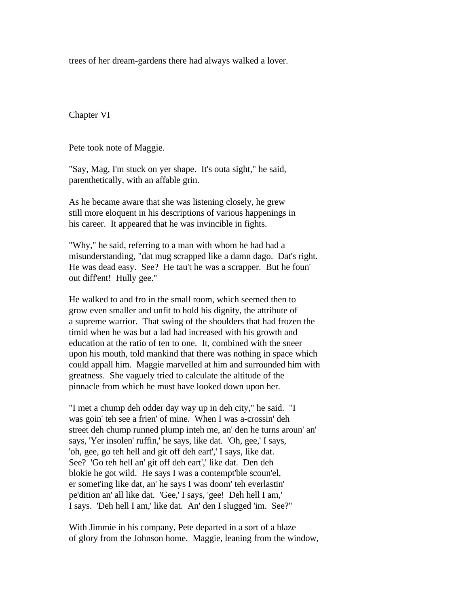trees of her dream-gardens there had always walked a lover.

Chapter VI

Pete took note of Maggie.

"Say, Mag, I'm stuck on yer shape. It's outa sight," he said, parenthetically, with an affable grin.

As he became aware that she was listening closely, he grew still more eloquent in his descriptions of various happenings in his career. It appeared that he was invincible in fights.

"Why," he said, referring to a man with whom he had had a misunderstanding, "dat mug scrapped like a damn dago. Dat's right. He was dead easy. See? He tau't he was a scrapper. But he foun' out diff'ent! Hully gee."

He walked to and fro in the small room, which seemed then to grow even smaller and unfit to hold his dignity, the attribute of a supreme warrior. That swing of the shoulders that had frozen the timid when he was but a lad had increased with his growth and education at the ratio of ten to one. It, combined with the sneer upon his mouth, told mankind that there was nothing in space which could appall him. Maggie marvelled at him and surrounded him with greatness. She vaguely tried to calculate the altitude of the pinnacle from which he must have looked down upon her.

"I met a chump deh odder day way up in deh city," he said. "I was goin' teh see a frien' of mine. When I was a-crossin' deh street deh chump runned plump inteh me, an' den he turns aroun' an' says, 'Yer insolen' ruffin,' he says, like dat. 'Oh, gee,' I says, 'oh, gee, go teh hell and git off deh eart',' I says, like dat. See? 'Go teh hell an' git off deh eart',' like dat. Den deh blokie he got wild. He says I was a contempt'ble scoun'el, er somet'ing like dat, an' he says I was doom' teh everlastin' pe'dition an' all like dat. 'Gee,' I says, 'gee! Deh hell I am,' I says. 'Deh hell I am,' like dat. An' den I slugged 'im. See?"

With Jimmie in his company, Pete departed in a sort of a blaze of glory from the Johnson home. Maggie, leaning from the window,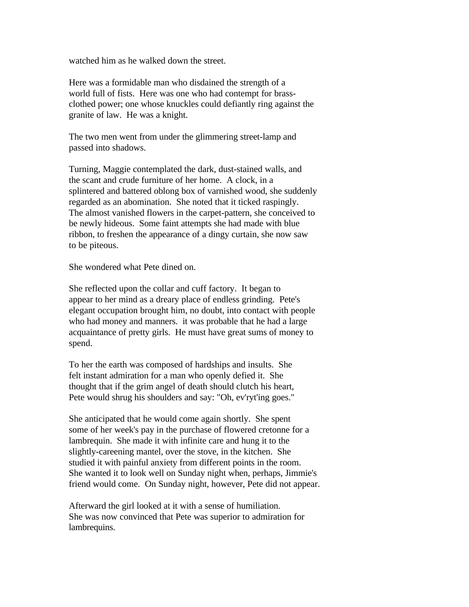watched him as he walked down the street.

Here was a formidable man who disdained the strength of a world full of fists. Here was one who had contempt for brassclothed power; one whose knuckles could defiantly ring against the granite of law. He was a knight.

The two men went from under the glimmering street-lamp and passed into shadows.

Turning, Maggie contemplated the dark, dust-stained walls, and the scant and crude furniture of her home. A clock, in a splintered and battered oblong box of varnished wood, she suddenly regarded as an abomination. She noted that it ticked raspingly. The almost vanished flowers in the carpet-pattern, she conceived to be newly hideous. Some faint attempts she had made with blue ribbon, to freshen the appearance of a dingy curtain, she now saw to be piteous.

She wondered what Pete dined on.

She reflected upon the collar and cuff factory. It began to appear to her mind as a dreary place of endless grinding. Pete's elegant occupation brought him, no doubt, into contact with people who had money and manners. it was probable that he had a large acquaintance of pretty girls. He must have great sums of money to spend.

To her the earth was composed of hardships and insults. She felt instant admiration for a man who openly defied it. She thought that if the grim angel of death should clutch his heart, Pete would shrug his shoulders and say: "Oh, ev'ryt'ing goes."

She anticipated that he would come again shortly. She spent some of her week's pay in the purchase of flowered cretonne for a lambrequin. She made it with infinite care and hung it to the slightly-careening mantel, over the stove, in the kitchen. She studied it with painful anxiety from different points in the room. She wanted it to look well on Sunday night when, perhaps, Jimmie's friend would come. On Sunday night, however, Pete did not appear.

Afterward the girl looked at it with a sense of humiliation. She was now convinced that Pete was superior to admiration for lambrequins.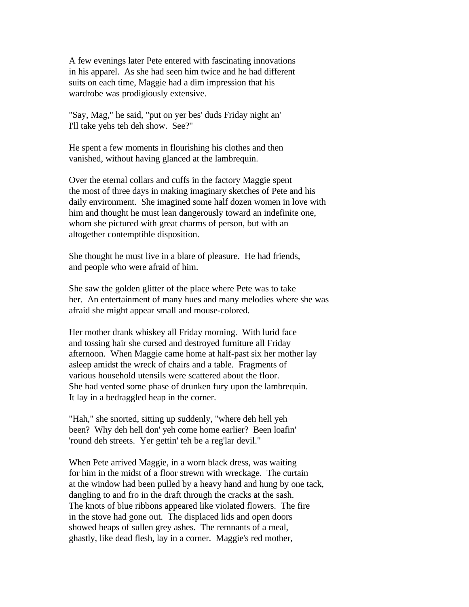A few evenings later Pete entered with fascinating innovations in his apparel. As she had seen him twice and he had different suits on each time, Maggie had a dim impression that his wardrobe was prodigiously extensive.

"Say, Mag," he said, "put on yer bes' duds Friday night an' I'll take yehs teh deh show. See?"

He spent a few moments in flourishing his clothes and then vanished, without having glanced at the lambrequin.

Over the eternal collars and cuffs in the factory Maggie spent the most of three days in making imaginary sketches of Pete and his daily environment. She imagined some half dozen women in love with him and thought he must lean dangerously toward an indefinite one, whom she pictured with great charms of person, but with an altogether contemptible disposition.

She thought he must live in a blare of pleasure. He had friends, and people who were afraid of him.

She saw the golden glitter of the place where Pete was to take her. An entertainment of many hues and many melodies where she was afraid she might appear small and mouse-colored.

Her mother drank whiskey all Friday morning. With lurid face and tossing hair she cursed and destroyed furniture all Friday afternoon. When Maggie came home at half-past six her mother lay asleep amidst the wreck of chairs and a table. Fragments of various household utensils were scattered about the floor. She had vented some phase of drunken fury upon the lambrequin. It lay in a bedraggled heap in the corner.

"Hah," she snorted, sitting up suddenly, "where deh hell yeh been? Why deh hell don' yeh come home earlier? Been loafin' 'round deh streets. Yer gettin' teh be a reg'lar devil."

When Pete arrived Maggie, in a worn black dress, was waiting for him in the midst of a floor strewn with wreckage. The curtain at the window had been pulled by a heavy hand and hung by one tack, dangling to and fro in the draft through the cracks at the sash. The knots of blue ribbons appeared like violated flowers. The fire in the stove had gone out. The displaced lids and open doors showed heaps of sullen grey ashes. The remnants of a meal, ghastly, like dead flesh, lay in a corner. Maggie's red mother,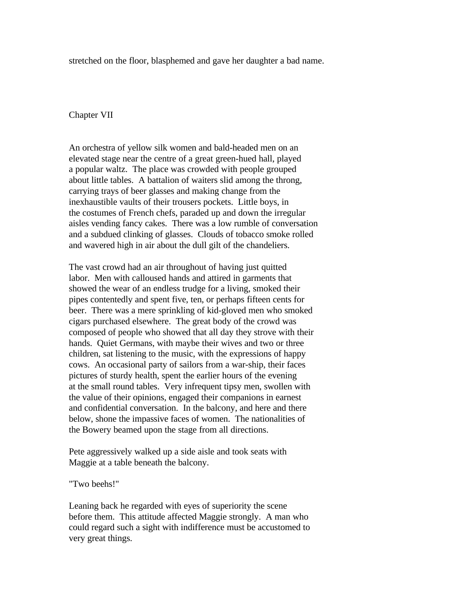stretched on the floor, blasphemed and gave her daughter a bad name.

## Chapter VII

An orchestra of yellow silk women and bald-headed men on an elevated stage near the centre of a great green-hued hall, played a popular waltz. The place was crowded with people grouped about little tables. A battalion of waiters slid among the throng, carrying trays of beer glasses and making change from the inexhaustible vaults of their trousers pockets. Little boys, in the costumes of French chefs, paraded up and down the irregular aisles vending fancy cakes. There was a low rumble of conversation and a subdued clinking of glasses. Clouds of tobacco smoke rolled and wavered high in air about the dull gilt of the chandeliers.

The vast crowd had an air throughout of having just quitted labor. Men with calloused hands and attired in garments that showed the wear of an endless trudge for a living, smoked their pipes contentedly and spent five, ten, or perhaps fifteen cents for beer. There was a mere sprinkling of kid-gloved men who smoked cigars purchased elsewhere. The great body of the crowd was composed of people who showed that all day they strove with their hands. Quiet Germans, with maybe their wives and two or three children, sat listening to the music, with the expressions of happy cows. An occasional party of sailors from a war-ship, their faces pictures of sturdy health, spent the earlier hours of the evening at the small round tables. Very infrequent tipsy men, swollen with the value of their opinions, engaged their companions in earnest and confidential conversation. In the balcony, and here and there below, shone the impassive faces of women. The nationalities of the Bowery beamed upon the stage from all directions.

Pete aggressively walked up a side aisle and took seats with Maggie at a table beneath the balcony.

"Two beehs!"

Leaning back he regarded with eyes of superiority the scene before them. This attitude affected Maggie strongly. A man who could regard such a sight with indifference must be accustomed to very great things.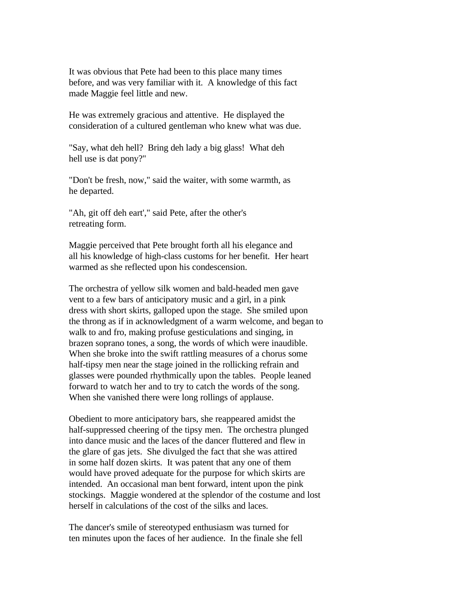It was obvious that Pete had been to this place many times before, and was very familiar with it. A knowledge of this fact made Maggie feel little and new.

He was extremely gracious and attentive. He displayed the consideration of a cultured gentleman who knew what was due.

"Say, what deh hell? Bring deh lady a big glass! What deh hell use is dat pony?"

"Don't be fresh, now," said the waiter, with some warmth, as he departed.

"Ah, git off deh eart'," said Pete, after the other's retreating form.

Maggie perceived that Pete brought forth all his elegance and all his knowledge of high-class customs for her benefit. Her heart warmed as she reflected upon his condescension.

The orchestra of yellow silk women and bald-headed men gave vent to a few bars of anticipatory music and a girl, in a pink dress with short skirts, galloped upon the stage. She smiled upon the throng as if in acknowledgment of a warm welcome, and began to walk to and fro, making profuse gesticulations and singing, in brazen soprano tones, a song, the words of which were inaudible. When she broke into the swift rattling measures of a chorus some half-tipsy men near the stage joined in the rollicking refrain and glasses were pounded rhythmically upon the tables. People leaned forward to watch her and to try to catch the words of the song. When she vanished there were long rollings of applause.

Obedient to more anticipatory bars, she reappeared amidst the half-suppressed cheering of the tipsy men. The orchestra plunged into dance music and the laces of the dancer fluttered and flew in the glare of gas jets. She divulged the fact that she was attired in some half dozen skirts. It was patent that any one of them would have proved adequate for the purpose for which skirts are intended. An occasional man bent forward, intent upon the pink stockings. Maggie wondered at the splendor of the costume and lost herself in calculations of the cost of the silks and laces.

The dancer's smile of stereotyped enthusiasm was turned for ten minutes upon the faces of her audience. In the finale she fell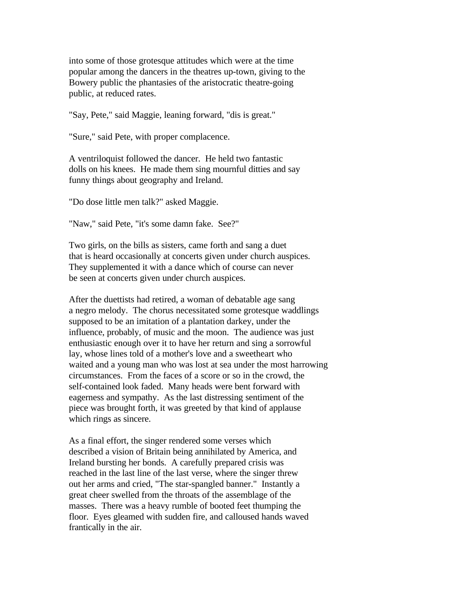into some of those grotesque attitudes which were at the time popular among the dancers in the theatres up-town, giving to the Bowery public the phantasies of the aristocratic theatre-going public, at reduced rates.

"Say, Pete," said Maggie, leaning forward, "dis is great."

"Sure," said Pete, with proper complacence.

A ventriloquist followed the dancer. He held two fantastic dolls on his knees. He made them sing mournful ditties and say funny things about geography and Ireland.

"Do dose little men talk?" asked Maggie.

"Naw," said Pete, "it's some damn fake. See?"

Two girls, on the bills as sisters, came forth and sang a duet that is heard occasionally at concerts given under church auspices. They supplemented it with a dance which of course can never be seen at concerts given under church auspices.

After the duettists had retired, a woman of debatable age sang a negro melody. The chorus necessitated some grotesque waddlings supposed to be an imitation of a plantation darkey, under the influence, probably, of music and the moon. The audience was just enthusiastic enough over it to have her return and sing a sorrowful lay, whose lines told of a mother's love and a sweetheart who waited and a young man who was lost at sea under the most harrowing circumstances. From the faces of a score or so in the crowd, the self-contained look faded. Many heads were bent forward with eagerness and sympathy. As the last distressing sentiment of the piece was brought forth, it was greeted by that kind of applause which rings as sincere.

As a final effort, the singer rendered some verses which described a vision of Britain being annihilated by America, and Ireland bursting her bonds. A carefully prepared crisis was reached in the last line of the last verse, where the singer threw out her arms and cried, "The star-spangled banner." Instantly a great cheer swelled from the throats of the assemblage of the masses. There was a heavy rumble of booted feet thumping the floor. Eyes gleamed with sudden fire, and calloused hands waved frantically in the air.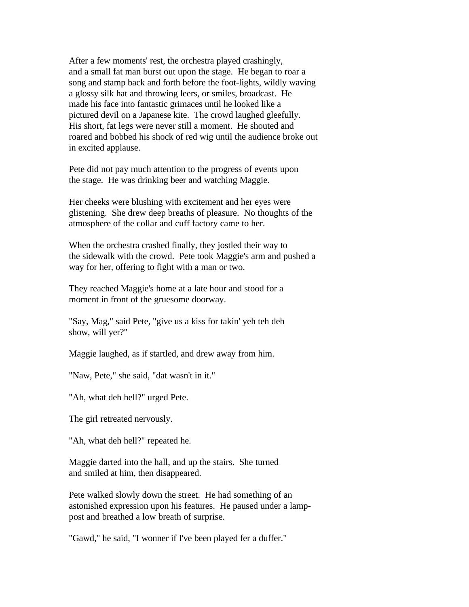After a few moments' rest, the orchestra played crashingly, and a small fat man burst out upon the stage. He began to roar a song and stamp back and forth before the foot-lights, wildly waving a glossy silk hat and throwing leers, or smiles, broadcast. He made his face into fantastic grimaces until he looked like a pictured devil on a Japanese kite. The crowd laughed gleefully. His short, fat legs were never still a moment. He shouted and roared and bobbed his shock of red wig until the audience broke out in excited applause.

Pete did not pay much attention to the progress of events upon the stage. He was drinking beer and watching Maggie.

Her cheeks were blushing with excitement and her eyes were glistening. She drew deep breaths of pleasure. No thoughts of the atmosphere of the collar and cuff factory came to her.

When the orchestra crashed finally, they jostled their way to the sidewalk with the crowd. Pete took Maggie's arm and pushed a way for her, offering to fight with a man or two.

They reached Maggie's home at a late hour and stood for a moment in front of the gruesome doorway.

"Say, Mag," said Pete, "give us a kiss for takin' yeh teh deh show, will yer?"

Maggie laughed, as if startled, and drew away from him.

"Naw, Pete," she said, "dat wasn't in it."

"Ah, what deh hell?" urged Pete.

The girl retreated nervously.

"Ah, what deh hell?" repeated he.

Maggie darted into the hall, and up the stairs. She turned and smiled at him, then disappeared.

Pete walked slowly down the street. He had something of an astonished expression upon his features. He paused under a lamppost and breathed a low breath of surprise.

"Gawd," he said, "I wonner if I've been played fer a duffer."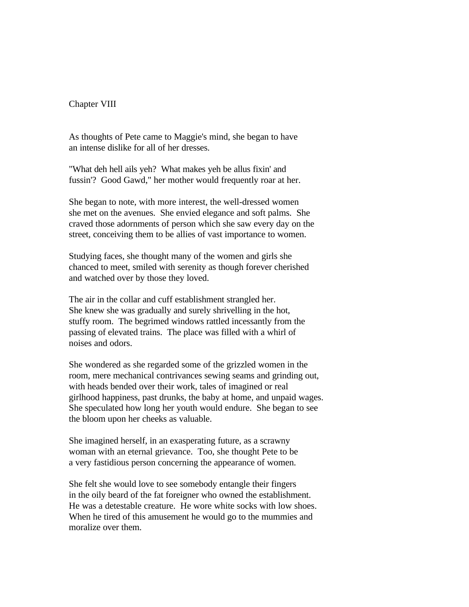Chapter VIII

As thoughts of Pete came to Maggie's mind, she began to have an intense dislike for all of her dresses.

"What deh hell ails yeh? What makes yeh be allus fixin' and fussin'? Good Gawd," her mother would frequently roar at her.

She began to note, with more interest, the well-dressed women she met on the avenues. She envied elegance and soft palms. She craved those adornments of person which she saw every day on the street, conceiving them to be allies of vast importance to women.

Studying faces, she thought many of the women and girls she chanced to meet, smiled with serenity as though forever cherished and watched over by those they loved.

The air in the collar and cuff establishment strangled her. She knew she was gradually and surely shrivelling in the hot, stuffy room. The begrimed windows rattled incessantly from the passing of elevated trains. The place was filled with a whirl of noises and odors.

She wondered as she regarded some of the grizzled women in the room, mere mechanical contrivances sewing seams and grinding out, with heads bended over their work, tales of imagined or real girlhood happiness, past drunks, the baby at home, and unpaid wages. She speculated how long her youth would endure. She began to see the bloom upon her cheeks as valuable.

She imagined herself, in an exasperating future, as a scrawny woman with an eternal grievance. Too, she thought Pete to be a very fastidious person concerning the appearance of women.

She felt she would love to see somebody entangle their fingers in the oily beard of the fat foreigner who owned the establishment. He was a detestable creature. He wore white socks with low shoes. When he tired of this amusement he would go to the mummies and moralize over them.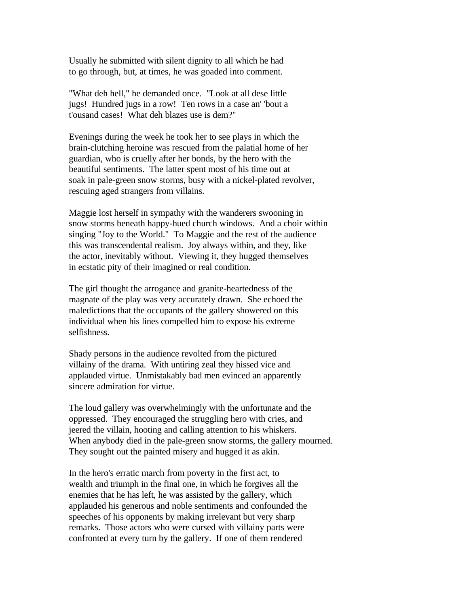Usually he submitted with silent dignity to all which he had to go through, but, at times, he was goaded into comment.

"What deh hell," he demanded once. "Look at all dese little jugs! Hundred jugs in a row! Ten rows in a case an' 'bout a t'ousand cases! What deh blazes use is dem?"

Evenings during the week he took her to see plays in which the brain-clutching heroine was rescued from the palatial home of her guardian, who is cruelly after her bonds, by the hero with the beautiful sentiments. The latter spent most of his time out at soak in pale-green snow storms, busy with a nickel-plated revolver, rescuing aged strangers from villains.

Maggie lost herself in sympathy with the wanderers swooning in snow storms beneath happy-hued church windows. And a choir within singing "Joy to the World." To Maggie and the rest of the audience this was transcendental realism. Joy always within, and they, like the actor, inevitably without. Viewing it, they hugged themselves in ecstatic pity of their imagined or real condition.

The girl thought the arrogance and granite-heartedness of the magnate of the play was very accurately drawn. She echoed the maledictions that the occupants of the gallery showered on this individual when his lines compelled him to expose his extreme selfishness.

Shady persons in the audience revolted from the pictured villainy of the drama. With untiring zeal they hissed vice and applauded virtue. Unmistakably bad men evinced an apparently sincere admiration for virtue.

The loud gallery was overwhelmingly with the unfortunate and the oppressed. They encouraged the struggling hero with cries, and jeered the villain, hooting and calling attention to his whiskers. When anybody died in the pale-green snow storms, the gallery mourned. They sought out the painted misery and hugged it as akin.

In the hero's erratic march from poverty in the first act, to wealth and triumph in the final one, in which he forgives all the enemies that he has left, he was assisted by the gallery, which applauded his generous and noble sentiments and confounded the speeches of his opponents by making irrelevant but very sharp remarks. Those actors who were cursed with villainy parts were confronted at every turn by the gallery. If one of them rendered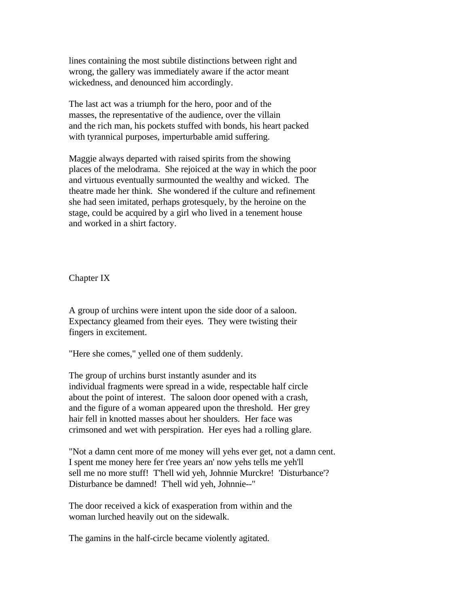lines containing the most subtile distinctions between right and wrong, the gallery was immediately aware if the actor meant wickedness, and denounced him accordingly.

The last act was a triumph for the hero, poor and of the masses, the representative of the audience, over the villain and the rich man, his pockets stuffed with bonds, his heart packed with tyrannical purposes, imperturbable amid suffering.

Maggie always departed with raised spirits from the showing places of the melodrama. She rejoiced at the way in which the poor and virtuous eventually surmounted the wealthy and wicked. The theatre made her think. She wondered if the culture and refinement she had seen imitated, perhaps grotesquely, by the heroine on the stage, could be acquired by a girl who lived in a tenement house and worked in a shirt factory.

Chapter IX

A group of urchins were intent upon the side door of a saloon. Expectancy gleamed from their eyes. They were twisting their fingers in excitement.

"Here she comes," yelled one of them suddenly.

The group of urchins burst instantly asunder and its individual fragments were spread in a wide, respectable half circle about the point of interest. The saloon door opened with a crash, and the figure of a woman appeared upon the threshold. Her grey hair fell in knotted masses about her shoulders. Her face was crimsoned and wet with perspiration. Her eyes had a rolling glare.

"Not a damn cent more of me money will yehs ever get, not a damn cent. I spent me money here fer t'ree years an' now yehs tells me yeh'll sell me no more stuff! T'hell wid yeh, Johnnie Murckre! 'Disturbance'? Disturbance be damned! T'hell wid yeh, Johnnie--"

The door received a kick of exasperation from within and the woman lurched heavily out on the sidewalk.

The gamins in the half-circle became violently agitated.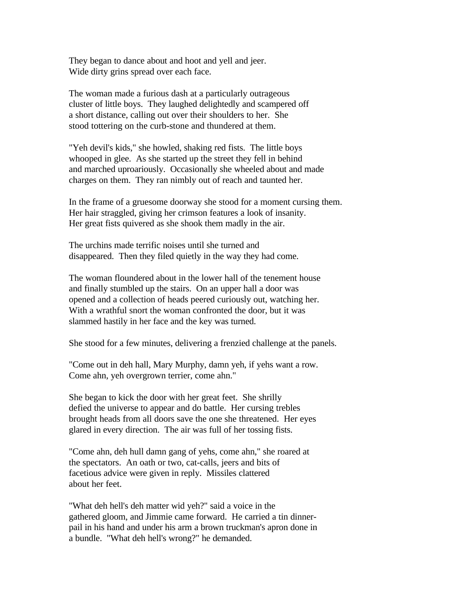They began to dance about and hoot and yell and jeer. Wide dirty grins spread over each face.

The woman made a furious dash at a particularly outrageous cluster of little boys. They laughed delightedly and scampered off a short distance, calling out over their shoulders to her. She stood tottering on the curb-stone and thundered at them.

"Yeh devil's kids," she howled, shaking red fists. The little boys whooped in glee. As she started up the street they fell in behind and marched uproariously. Occasionally she wheeled about and made charges on them. They ran nimbly out of reach and taunted her.

In the frame of a gruesome doorway she stood for a moment cursing them. Her hair straggled, giving her crimson features a look of insanity. Her great fists quivered as she shook them madly in the air.

The urchins made terrific noises until she turned and disappeared. Then they filed quietly in the way they had come.

The woman floundered about in the lower hall of the tenement house and finally stumbled up the stairs. On an upper hall a door was opened and a collection of heads peered curiously out, watching her. With a wrathful snort the woman confronted the door, but it was slammed hastily in her face and the key was turned.

She stood for a few minutes, delivering a frenzied challenge at the panels.

"Come out in deh hall, Mary Murphy, damn yeh, if yehs want a row. Come ahn, yeh overgrown terrier, come ahn."

She began to kick the door with her great feet. She shrilly defied the universe to appear and do battle. Her cursing trebles brought heads from all doors save the one she threatened. Her eyes glared in every direction. The air was full of her tossing fists.

"Come ahn, deh hull damn gang of yehs, come ahn," she roared at the spectators. An oath or two, cat-calls, jeers and bits of facetious advice were given in reply. Missiles clattered about her feet.

"What deh hell's deh matter wid yeh?" said a voice in the gathered gloom, and Jimmie came forward. He carried a tin dinnerpail in his hand and under his arm a brown truckman's apron done in a bundle. "What deh hell's wrong?" he demanded.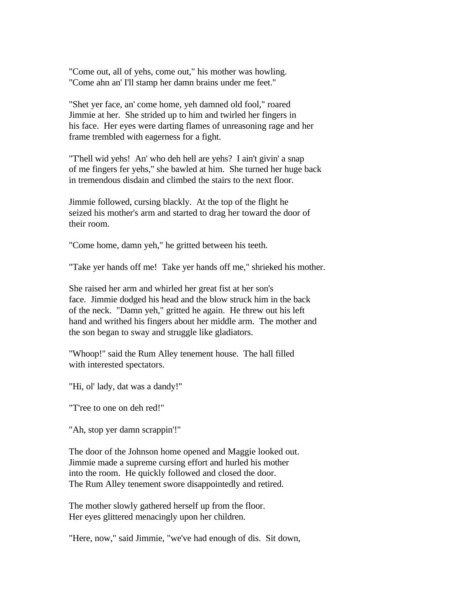"Come out, all of yehs, come out," his mother was howling. "Come ahn an' I'll stamp her damn brains under me feet."

"Shet yer face, an' come home, yeh damned old fool," roared Jimmie at her. She strided up to him and twirled her fingers in his face. Her eyes were darting flames of unreasoning rage and her frame trembled with eagerness for a fight.

"T'hell wid yehs! An' who deh hell are yehs? I ain't givin' a snap of me fingers fer yehs," she bawled at him. She turned her huge back in tremendous disdain and climbed the stairs to the next floor.

Jimmie followed, cursing blackly. At the top of the flight he seized his mother's arm and started to drag her toward the door of their room.

"Come home, damn yeh," he gritted between his teeth.

"Take yer hands off me! Take yer hands off me," shrieked his mother.

She raised her arm and whirled her great fist at her son's face. Jimmie dodged his head and the blow struck him in the back of the neck. "Damn yeh," gritted he again. He threw out his left hand and writhed his fingers about her middle arm. The mother and the son began to sway and struggle like gladiators.

"Whoop!" said the Rum Alley tenement house. The hall filled with interested spectators.

"Hi, ol' lady, dat was a dandy!"

"T'ree to one on deh red!"

"Ah, stop yer damn scrappin'!"

The door of the Johnson home opened and Maggie looked out. Jimmie made a supreme cursing effort and hurled his mother into the room. He quickly followed and closed the door. The Rum Alley tenement swore disappointedly and retired.

The mother slowly gathered herself up from the floor. Her eyes glittered menacingly upon her children.

"Here, now," said Jimmie, "we've had enough of dis. Sit down,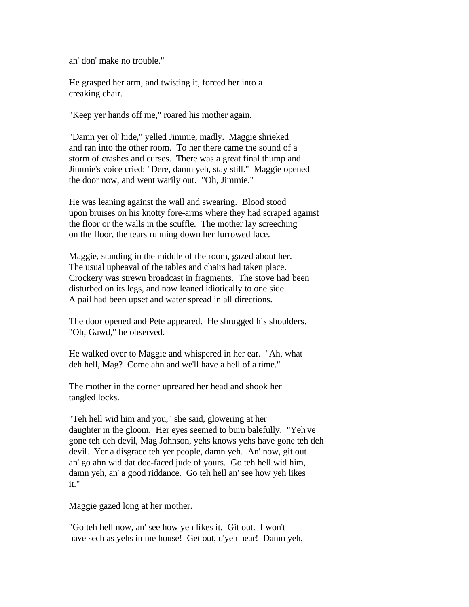an' don' make no trouble."

He grasped her arm, and twisting it, forced her into a creaking chair.

"Keep yer hands off me," roared his mother again.

"Damn yer ol' hide," yelled Jimmie, madly. Maggie shrieked and ran into the other room. To her there came the sound of a storm of crashes and curses. There was a great final thump and Jimmie's voice cried: "Dere, damn yeh, stay still." Maggie opened the door now, and went warily out. "Oh, Jimmie."

He was leaning against the wall and swearing. Blood stood upon bruises on his knotty fore-arms where they had scraped against the floor or the walls in the scuffle. The mother lay screeching on the floor, the tears running down her furrowed face.

Maggie, standing in the middle of the room, gazed about her. The usual upheaval of the tables and chairs had taken place. Crockery was strewn broadcast in fragments. The stove had been disturbed on its legs, and now leaned idiotically to one side. A pail had been upset and water spread in all directions.

The door opened and Pete appeared. He shrugged his shoulders. "Oh, Gawd," he observed.

He walked over to Maggie and whispered in her ear. "Ah, what deh hell, Mag? Come ahn and we'll have a hell of a time."

The mother in the corner upreared her head and shook her tangled locks.

"Teh hell wid him and you," she said, glowering at her daughter in the gloom. Her eyes seemed to burn balefully. "Yeh've gone teh deh devil, Mag Johnson, yehs knows yehs have gone teh deh devil. Yer a disgrace teh yer people, damn yeh. An' now, git out an' go ahn wid dat doe-faced jude of yours. Go teh hell wid him, damn yeh, an' a good riddance. Go teh hell an' see how yeh likes it."

Maggie gazed long at her mother.

"Go teh hell now, an' see how yeh likes it. Git out. I won't have sech as yehs in me house! Get out, d'yeh hear! Damn yeh,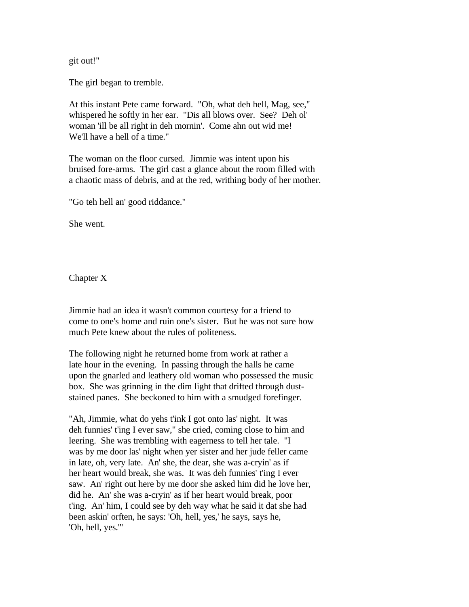git out!"

The girl began to tremble.

At this instant Pete came forward. "Oh, what deh hell, Mag, see," whispered he softly in her ear. "Dis all blows over. See? Deh ol' woman 'ill be all right in deh mornin'. Come ahn out wid me! We'll have a hell of a time."

The woman on the floor cursed. Jimmie was intent upon his bruised fore-arms. The girl cast a glance about the room filled with a chaotic mass of debris, and at the red, writhing body of her mother.

"Go teh hell an' good riddance."

She went.

Chapter X

Jimmie had an idea it wasn't common courtesy for a friend to come to one's home and ruin one's sister. But he was not sure how much Pete knew about the rules of politeness.

The following night he returned home from work at rather a late hour in the evening. In passing through the halls he came upon the gnarled and leathery old woman who possessed the music box. She was grinning in the dim light that drifted through duststained panes. She beckoned to him with a smudged forefinger.

"Ah, Jimmie, what do yehs t'ink I got onto las' night. It was deh funnies' t'ing I ever saw," she cried, coming close to him and leering. She was trembling with eagerness to tell her tale. "I was by me door las' night when yer sister and her jude feller came in late, oh, very late. An' she, the dear, she was a-cryin' as if her heart would break, she was. It was deh funnies' t'ing I ever saw. An' right out here by me door she asked him did he love her, did he. An' she was a-cryin' as if her heart would break, poor t'ing. An' him, I could see by deh way what he said it dat she had been askin' orften, he says: 'Oh, hell, yes,' he says, says he, 'Oh, hell, yes.'"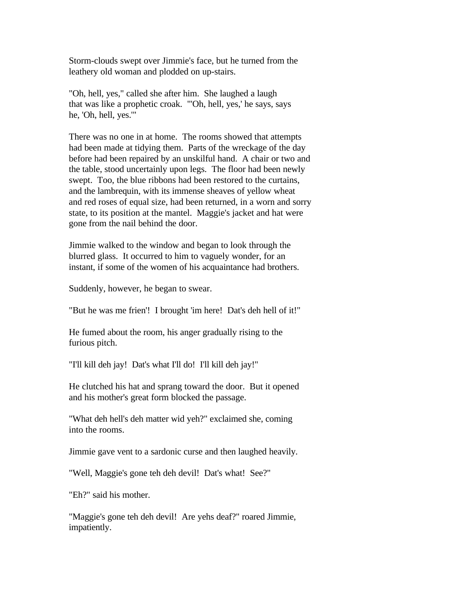Storm-clouds swept over Jimmie's face, but he turned from the leathery old woman and plodded on up-stairs.

"Oh, hell, yes," called she after him. She laughed a laugh that was like a prophetic croak. "'Oh, hell, yes,' he says, says he, 'Oh, hell, yes.'"

There was no one in at home. The rooms showed that attempts had been made at tidying them. Parts of the wreckage of the day before had been repaired by an unskilful hand. A chair or two and the table, stood uncertainly upon legs. The floor had been newly swept. Too, the blue ribbons had been restored to the curtains, and the lambrequin, with its immense sheaves of yellow wheat and red roses of equal size, had been returned, in a worn and sorry state, to its position at the mantel. Maggie's jacket and hat were gone from the nail behind the door.

Jimmie walked to the window and began to look through the blurred glass. It occurred to him to vaguely wonder, for an instant, if some of the women of his acquaintance had brothers.

Suddenly, however, he began to swear.

"But he was me frien'! I brought 'im here! Dat's deh hell of it!"

He fumed about the room, his anger gradually rising to the furious pitch.

"I'll kill deh jay! Dat's what I'll do! I'll kill deh jay!"

He clutched his hat and sprang toward the door. But it opened and his mother's great form blocked the passage.

"What deh hell's deh matter wid yeh?" exclaimed she, coming into the rooms.

Jimmie gave vent to a sardonic curse and then laughed heavily.

"Well, Maggie's gone teh deh devil! Dat's what! See?"

"Eh?" said his mother.

"Maggie's gone teh deh devil! Are yehs deaf?" roared Jimmie, impatiently.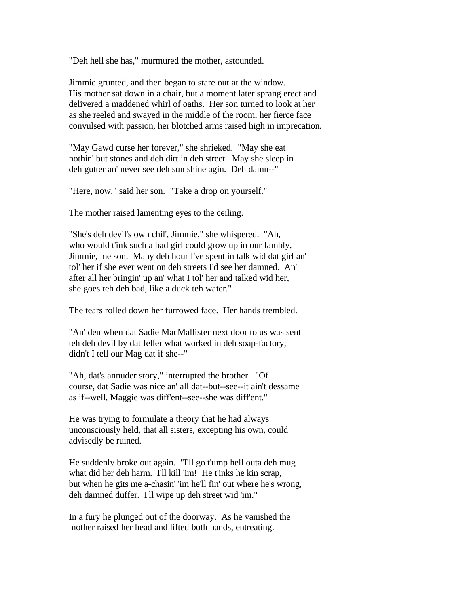"Deh hell she has," murmured the mother, astounded.

Jimmie grunted, and then began to stare out at the window. His mother sat down in a chair, but a moment later sprang erect and delivered a maddened whirl of oaths. Her son turned to look at her as she reeled and swayed in the middle of the room, her fierce face convulsed with passion, her blotched arms raised high in imprecation.

"May Gawd curse her forever," she shrieked. "May she eat nothin' but stones and deh dirt in deh street. May she sleep in deh gutter an' never see deh sun shine agin. Deh damn--"

"Here, now," said her son. "Take a drop on yourself."

The mother raised lamenting eyes to the ceiling.

"She's deh devil's own chil', Jimmie," she whispered. "Ah, who would t'ink such a bad girl could grow up in our fambly, Jimmie, me son. Many deh hour I've spent in talk wid dat girl an' tol' her if she ever went on deh streets I'd see her damned. An' after all her bringin' up an' what I tol' her and talked wid her, she goes teh deh bad, like a duck teh water."

The tears rolled down her furrowed face. Her hands trembled.

"An' den when dat Sadie MacMallister next door to us was sent teh deh devil by dat feller what worked in deh soap-factory, didn't I tell our Mag dat if she--"

"Ah, dat's annuder story," interrupted the brother. "Of course, dat Sadie was nice an' all dat--but--see--it ain't dessame as if--well, Maggie was diff'ent--see--she was diff'ent."

He was trying to formulate a theory that he had always unconsciously held, that all sisters, excepting his own, could advisedly be ruined.

He suddenly broke out again. "I'll go t'ump hell outa deh mug what did her deh harm. I'll kill 'im! He t'inks he kin scrap, but when he gits me a-chasin' 'im he'll fin' out where he's wrong, deh damned duffer. I'll wipe up deh street wid 'im."

In a fury he plunged out of the doorway. As he vanished the mother raised her head and lifted both hands, entreating.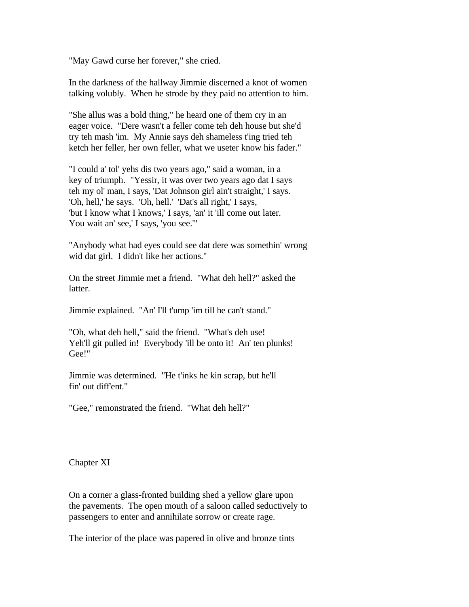"May Gawd curse her forever," she cried.

In the darkness of the hallway Jimmie discerned a knot of women talking volubly. When he strode by they paid no attention to him.

"She allus was a bold thing," he heard one of them cry in an eager voice. "Dere wasn't a feller come teh deh house but she'd try teh mash 'im. My Annie says deh shameless t'ing tried teh ketch her feller, her own feller, what we useter know his fader."

"I could a' tol' yehs dis two years ago," said a woman, in a key of triumph. "Yessir, it was over two years ago dat I says teh my ol' man, I says, 'Dat Johnson girl ain't straight,' I says. 'Oh, hell,' he says. 'Oh, hell.' 'Dat's all right,' I says, 'but I know what I knows,' I says, 'an' it 'ill come out later. You wait an' see,' I says, 'you see.""

"Anybody what had eyes could see dat dere was somethin' wrong wid dat girl. I didn't like her actions."

On the street Jimmie met a friend. "What deh hell?" asked the latter.

Jimmie explained. "An' I'll t'ump 'im till he can't stand."

"Oh, what deh hell," said the friend. "What's deh use! Yeh'll git pulled in! Everybody 'ill be onto it! An' ten plunks! Gee!"

Jimmie was determined. "He t'inks he kin scrap, but he'll fin' out diff'ent."

"Gee," remonstrated the friend. "What deh hell?"

Chapter XI

On a corner a glass-fronted building shed a yellow glare upon the pavements. The open mouth of a saloon called seductively to passengers to enter and annihilate sorrow or create rage.

The interior of the place was papered in olive and bronze tints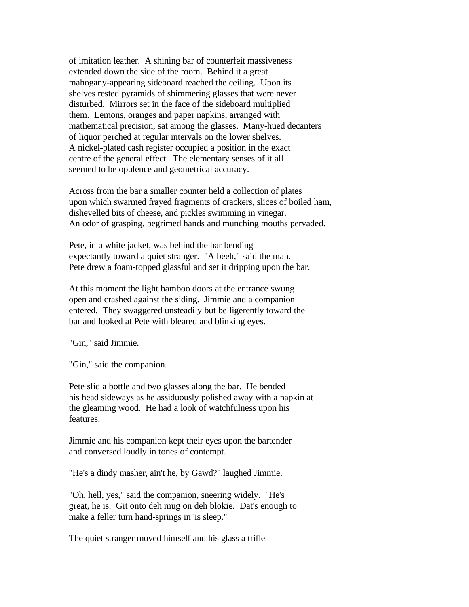of imitation leather. A shining bar of counterfeit massiveness extended down the side of the room. Behind it a great mahogany-appearing sideboard reached the ceiling. Upon its shelves rested pyramids of shimmering glasses that were never disturbed. Mirrors set in the face of the sideboard multiplied them. Lemons, oranges and paper napkins, arranged with mathematical precision, sat among the glasses. Many-hued decanters of liquor perched at regular intervals on the lower shelves. A nickel-plated cash register occupied a position in the exact centre of the general effect. The elementary senses of it all seemed to be opulence and geometrical accuracy.

Across from the bar a smaller counter held a collection of plates upon which swarmed frayed fragments of crackers, slices of boiled ham, dishevelled bits of cheese, and pickles swimming in vinegar. An odor of grasping, begrimed hands and munching mouths pervaded.

Pete, in a white jacket, was behind the bar bending expectantly toward a quiet stranger. "A beeh," said the man. Pete drew a foam-topped glassful and set it dripping upon the bar.

At this moment the light bamboo doors at the entrance swung open and crashed against the siding. Jimmie and a companion entered. They swaggered unsteadily but belligerently toward the bar and looked at Pete with bleared and blinking eyes.

"Gin," said Jimmie.

"Gin," said the companion.

Pete slid a bottle and two glasses along the bar. He bended his head sideways as he assiduously polished away with a napkin at the gleaming wood. He had a look of watchfulness upon his features.

Jimmie and his companion kept their eyes upon the bartender and conversed loudly in tones of contempt.

"He's a dindy masher, ain't he, by Gawd?" laughed Jimmie.

"Oh, hell, yes," said the companion, sneering widely. "He's great, he is. Git onto deh mug on deh blokie. Dat's enough to make a feller turn hand-springs in 'is sleep."

The quiet stranger moved himself and his glass a trifle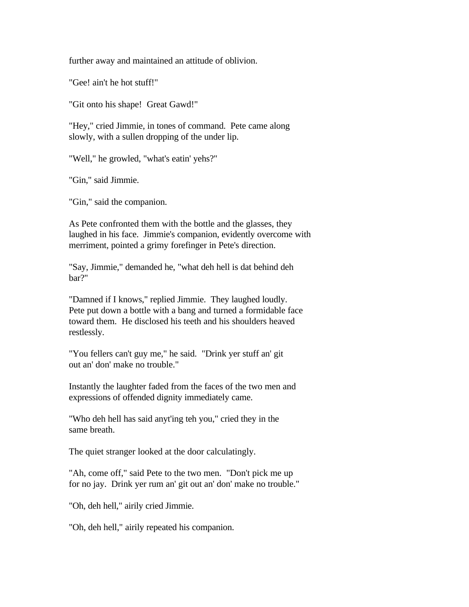further away and maintained an attitude of oblivion.

"Gee! ain't he hot stuff!"

"Git onto his shape! Great Gawd!"

"Hey," cried Jimmie, in tones of command. Pete came along slowly, with a sullen dropping of the under lip.

"Well," he growled, "what's eatin' yehs?"

"Gin," said Jimmie.

"Gin," said the companion.

As Pete confronted them with the bottle and the glasses, they laughed in his face. Jimmie's companion, evidently overcome with merriment, pointed a grimy forefinger in Pete's direction.

"Say, Jimmie," demanded he, "what deh hell is dat behind deh bar?"

"Damned if I knows," replied Jimmie. They laughed loudly. Pete put down a bottle with a bang and turned a formidable face toward them. He disclosed his teeth and his shoulders heaved restlessly.

"You fellers can't guy me," he said. "Drink yer stuff an' git out an' don' make no trouble."

Instantly the laughter faded from the faces of the two men and expressions of offended dignity immediately came.

"Who deh hell has said anyt'ing teh you," cried they in the same breath.

The quiet stranger looked at the door calculatingly.

"Ah, come off," said Pete to the two men. "Don't pick me up for no jay. Drink yer rum an' git out an' don' make no trouble."

"Oh, deh hell," airily cried Jimmie.

"Oh, deh hell," airily repeated his companion.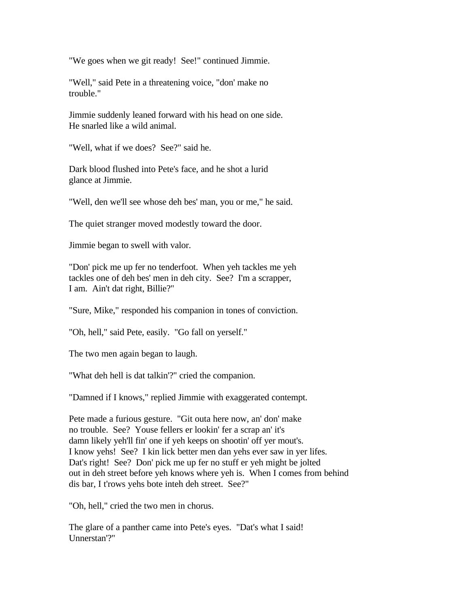"We goes when we git ready! See!" continued Jimmie.

"Well," said Pete in a threatening voice, "don' make no trouble."

Jimmie suddenly leaned forward with his head on one side. He snarled like a wild animal.

"Well, what if we does? See?" said he.

Dark blood flushed into Pete's face, and he shot a lurid glance at Jimmie.

"Well, den we'll see whose deh bes' man, you or me," he said.

The quiet stranger moved modestly toward the door.

Jimmie began to swell with valor.

"Don' pick me up fer no tenderfoot. When yeh tackles me yeh tackles one of deh bes' men in deh city. See? I'm a scrapper, I am. Ain't dat right, Billie?"

"Sure, Mike," responded his companion in tones of conviction.

"Oh, hell," said Pete, easily. "Go fall on yerself."

The two men again began to laugh.

"What deh hell is dat talkin'?" cried the companion.

"Damned if I knows," replied Jimmie with exaggerated contempt.

Pete made a furious gesture. "Git outa here now, an' don' make no trouble. See? Youse fellers er lookin' fer a scrap an' it's damn likely yeh'll fin' one if yeh keeps on shootin' off yer mout's. I know yehs! See? I kin lick better men dan yehs ever saw in yer lifes. Dat's right! See? Don' pick me up fer no stuff er yeh might be jolted out in deh street before yeh knows where yeh is. When I comes from behind dis bar, I t'rows yehs bote inteh deh street. See?"

"Oh, hell," cried the two men in chorus.

The glare of a panther came into Pete's eyes. "Dat's what I said! Unnerstan'?"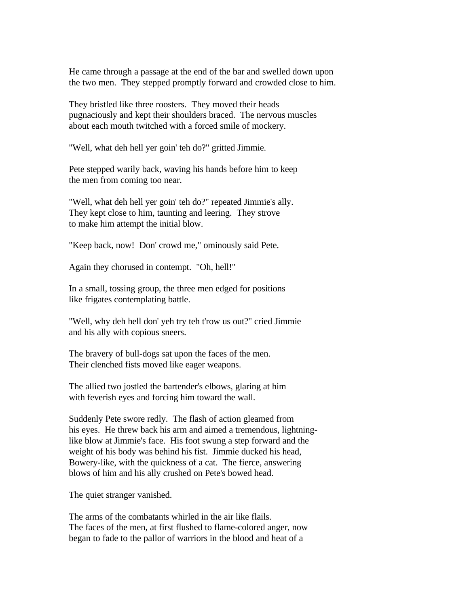He came through a passage at the end of the bar and swelled down upon the two men. They stepped promptly forward and crowded close to him.

They bristled like three roosters. They moved their heads pugnaciously and kept their shoulders braced. The nervous muscles about each mouth twitched with a forced smile of mockery.

"Well, what deh hell yer goin' teh do?" gritted Jimmie.

Pete stepped warily back, waving his hands before him to keep the men from coming too near.

"Well, what deh hell yer goin' teh do?" repeated Jimmie's ally. They kept close to him, taunting and leering. They strove to make him attempt the initial blow.

"Keep back, now! Don' crowd me," ominously said Pete.

Again they chorused in contempt. "Oh, hell!"

In a small, tossing group, the three men edged for positions like frigates contemplating battle.

"Well, why deh hell don' yeh try teh t'row us out?" cried Jimmie and his ally with copious sneers.

The bravery of bull-dogs sat upon the faces of the men. Their clenched fists moved like eager weapons.

The allied two jostled the bartender's elbows, glaring at him with feverish eyes and forcing him toward the wall.

Suddenly Pete swore redly. The flash of action gleamed from his eyes. He threw back his arm and aimed a tremendous, lightninglike blow at Jimmie's face. His foot swung a step forward and the weight of his body was behind his fist. Jimmie ducked his head, Bowery-like, with the quickness of a cat. The fierce, answering blows of him and his ally crushed on Pete's bowed head.

The quiet stranger vanished.

The arms of the combatants whirled in the air like flails. The faces of the men, at first flushed to flame-colored anger, now began to fade to the pallor of warriors in the blood and heat of a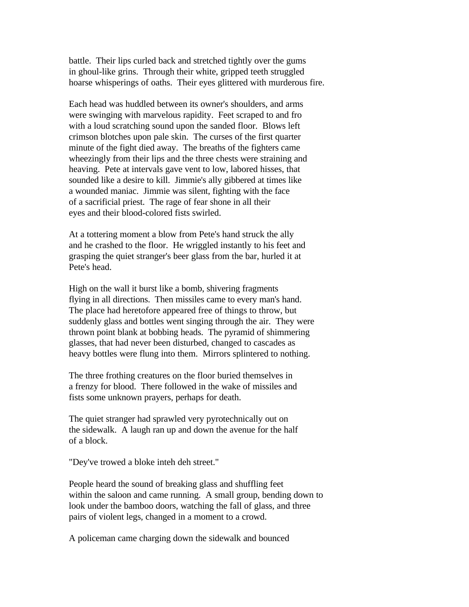battle. Their lips curled back and stretched tightly over the gums in ghoul-like grins. Through their white, gripped teeth struggled hoarse whisperings of oaths. Their eyes glittered with murderous fire.

Each head was huddled between its owner's shoulders, and arms were swinging with marvelous rapidity. Feet scraped to and fro with a loud scratching sound upon the sanded floor. Blows left crimson blotches upon pale skin. The curses of the first quarter minute of the fight died away. The breaths of the fighters came wheezingly from their lips and the three chests were straining and heaving. Pete at intervals gave vent to low, labored hisses, that sounded like a desire to kill. Jimmie's ally gibbered at times like a wounded maniac. Jimmie was silent, fighting with the face of a sacrificial priest. The rage of fear shone in all their eyes and their blood-colored fists swirled.

At a tottering moment a blow from Pete's hand struck the ally and he crashed to the floor. He wriggled instantly to his feet and grasping the quiet stranger's beer glass from the bar, hurled it at Pete's head.

High on the wall it burst like a bomb, shivering fragments flying in all directions. Then missiles came to every man's hand. The place had heretofore appeared free of things to throw, but suddenly glass and bottles went singing through the air. They were thrown point blank at bobbing heads. The pyramid of shimmering glasses, that had never been disturbed, changed to cascades as heavy bottles were flung into them. Mirrors splintered to nothing.

The three frothing creatures on the floor buried themselves in a frenzy for blood. There followed in the wake of missiles and fists some unknown prayers, perhaps for death.

The quiet stranger had sprawled very pyrotechnically out on the sidewalk. A laugh ran up and down the avenue for the half of a block.

"Dey've trowed a bloke inteh deh street."

People heard the sound of breaking glass and shuffling feet within the saloon and came running. A small group, bending down to look under the bamboo doors, watching the fall of glass, and three pairs of violent legs, changed in a moment to a crowd.

A policeman came charging down the sidewalk and bounced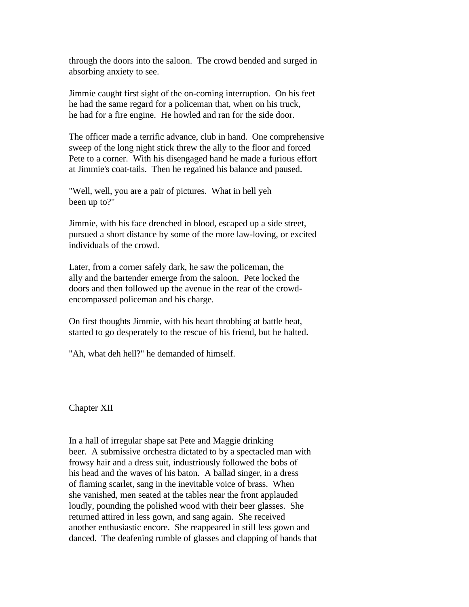through the doors into the saloon. The crowd bended and surged in absorbing anxiety to see.

Jimmie caught first sight of the on-coming interruption. On his feet he had the same regard for a policeman that, when on his truck, he had for a fire engine. He howled and ran for the side door.

The officer made a terrific advance, club in hand. One comprehensive sweep of the long night stick threw the ally to the floor and forced Pete to a corner. With his disengaged hand he made a furious effort at Jimmie's coat-tails. Then he regained his balance and paused.

"Well, well, you are a pair of pictures. What in hell yeh been up to?"

Jimmie, with his face drenched in blood, escaped up a side street, pursued a short distance by some of the more law-loving, or excited individuals of the crowd.

Later, from a corner safely dark, he saw the policeman, the ally and the bartender emerge from the saloon. Pete locked the doors and then followed up the avenue in the rear of the crowdencompassed policeman and his charge.

On first thoughts Jimmie, with his heart throbbing at battle heat, started to go desperately to the rescue of his friend, but he halted.

"Ah, what deh hell?" he demanded of himself.

Chapter XII

In a hall of irregular shape sat Pete and Maggie drinking beer. A submissive orchestra dictated to by a spectacled man with frowsy hair and a dress suit, industriously followed the bobs of his head and the waves of his baton. A ballad singer, in a dress of flaming scarlet, sang in the inevitable voice of brass. When she vanished, men seated at the tables near the front applauded loudly, pounding the polished wood with their beer glasses. She returned attired in less gown, and sang again. She received another enthusiastic encore. She reappeared in still less gown and danced. The deafening rumble of glasses and clapping of hands that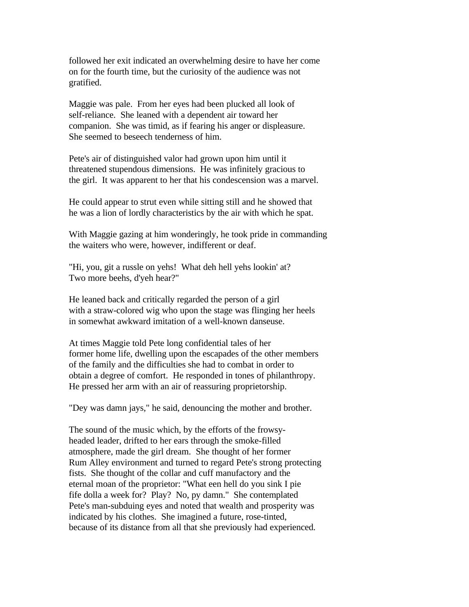followed her exit indicated an overwhelming desire to have her come on for the fourth time, but the curiosity of the audience was not gratified.

Maggie was pale. From her eyes had been plucked all look of self-reliance. She leaned with a dependent air toward her companion. She was timid, as if fearing his anger or displeasure. She seemed to beseech tenderness of him.

Pete's air of distinguished valor had grown upon him until it threatened stupendous dimensions. He was infinitely gracious to the girl. It was apparent to her that his condescension was a marvel.

He could appear to strut even while sitting still and he showed that he was a lion of lordly characteristics by the air with which he spat.

With Maggie gazing at him wonderingly, he took pride in commanding the waiters who were, however, indifferent or deaf.

"Hi, you, git a russle on yehs! What deh hell yehs lookin' at? Two more beehs, d'yeh hear?"

He leaned back and critically regarded the person of a girl with a straw-colored wig who upon the stage was flinging her heels in somewhat awkward imitation of a well-known danseuse.

At times Maggie told Pete long confidential tales of her former home life, dwelling upon the escapades of the other members of the family and the difficulties she had to combat in order to obtain a degree of comfort. He responded in tones of philanthropy. He pressed her arm with an air of reassuring proprietorship.

"Dey was damn jays," he said, denouncing the mother and brother.

The sound of the music which, by the efforts of the frowsyheaded leader, drifted to her ears through the smoke-filled atmosphere, made the girl dream. She thought of her former Rum Alley environment and turned to regard Pete's strong protecting fists. She thought of the collar and cuff manufactory and the eternal moan of the proprietor: "What een hell do you sink I pie fife dolla a week for? Play? No, py damn." She contemplated Pete's man-subduing eyes and noted that wealth and prosperity was indicated by his clothes. She imagined a future, rose-tinted, because of its distance from all that she previously had experienced.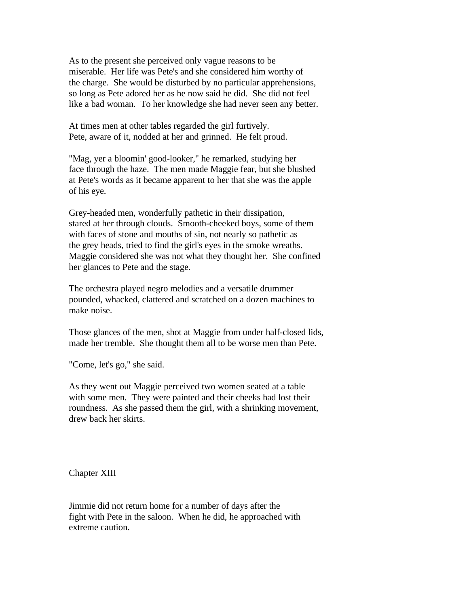As to the present she perceived only vague reasons to be miserable. Her life was Pete's and she considered him worthy of the charge. She would be disturbed by no particular apprehensions, so long as Pete adored her as he now said he did. She did not feel like a bad woman. To her knowledge she had never seen any better.

At times men at other tables regarded the girl furtively. Pete, aware of it, nodded at her and grinned. He felt proud.

"Mag, yer a bloomin' good-looker," he remarked, studying her face through the haze. The men made Maggie fear, but she blushed at Pete's words as it became apparent to her that she was the apple of his eye.

Grey-headed men, wonderfully pathetic in their dissipation, stared at her through clouds. Smooth-cheeked boys, some of them with faces of stone and mouths of sin, not nearly so pathetic as the grey heads, tried to find the girl's eyes in the smoke wreaths. Maggie considered she was not what they thought her. She confined her glances to Pete and the stage.

The orchestra played negro melodies and a versatile drummer pounded, whacked, clattered and scratched on a dozen machines to make noise.

Those glances of the men, shot at Maggie from under half-closed lids, made her tremble. She thought them all to be worse men than Pete.

"Come, let's go," she said.

As they went out Maggie perceived two women seated at a table with some men. They were painted and their cheeks had lost their roundness. As she passed them the girl, with a shrinking movement, drew back her skirts.

Chapter XIII

Jimmie did not return home for a number of days after the fight with Pete in the saloon. When he did, he approached with extreme caution.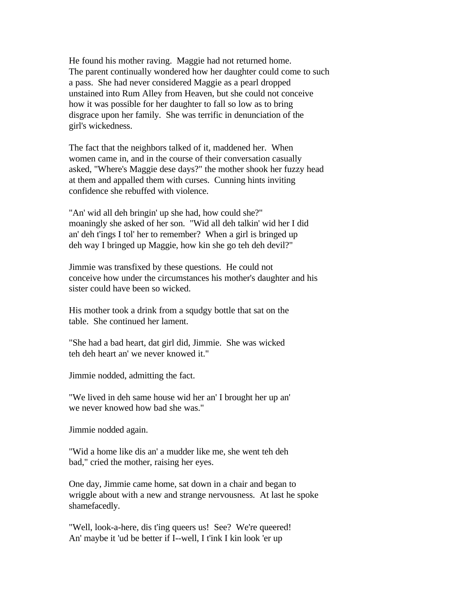He found his mother raving. Maggie had not returned home. The parent continually wondered how her daughter could come to such a pass. She had never considered Maggie as a pearl dropped unstained into Rum Alley from Heaven, but she could not conceive how it was possible for her daughter to fall so low as to bring disgrace upon her family. She was terrific in denunciation of the girl's wickedness.

The fact that the neighbors talked of it, maddened her. When women came in, and in the course of their conversation casually asked, "Where's Maggie dese days?" the mother shook her fuzzy head at them and appalled them with curses. Cunning hints inviting confidence she rebuffed with violence.

"An' wid all deh bringin' up she had, how could she?" moaningly she asked of her son. "Wid all deh talkin' wid her I did an' deh t'ings I tol' her to remember? When a girl is bringed up deh way I bringed up Maggie, how kin she go teh deh devil?"

Jimmie was transfixed by these questions. He could not conceive how under the circumstances his mother's daughter and his sister could have been so wicked.

His mother took a drink from a squdgy bottle that sat on the table. She continued her lament.

"She had a bad heart, dat girl did, Jimmie. She was wicked teh deh heart an' we never knowed it."

Jimmie nodded, admitting the fact.

"We lived in deh same house wid her an' I brought her up an' we never knowed how bad she was."

Jimmie nodded again.

"Wid a home like dis an' a mudder like me, she went teh deh bad," cried the mother, raising her eyes.

One day, Jimmie came home, sat down in a chair and began to wriggle about with a new and strange nervousness. At last he spoke shamefacedly.

"Well, look-a-here, dis t'ing queers us! See? We're queered! An' maybe it 'ud be better if I--well, I t'ink I kin look 'er up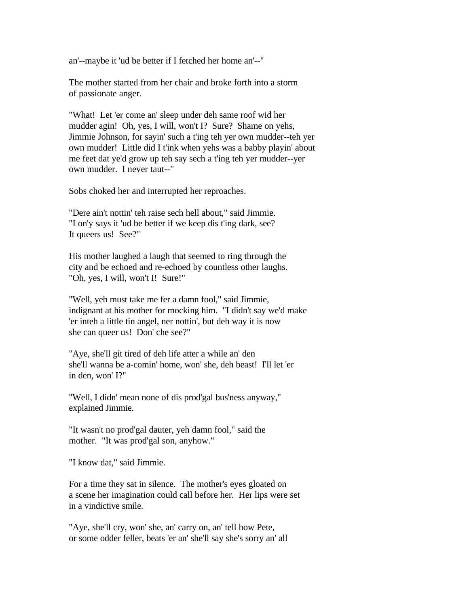an'--maybe it 'ud be better if I fetched her home an'--"

The mother started from her chair and broke forth into a storm of passionate anger.

"What! Let 'er come an' sleep under deh same roof wid her mudder agin! Oh, yes, I will, won't I? Sure? Shame on yehs, Jimmie Johnson, for sayin' such a t'ing teh yer own mudder--teh yer own mudder! Little did I t'ink when yehs was a babby playin' about me feet dat ye'd grow up teh say sech a t'ing teh yer mudder--yer own mudder. I never taut--"

Sobs choked her and interrupted her reproaches.

"Dere ain't nottin' teh raise sech hell about," said Jimmie. "I on'y says it 'ud be better if we keep dis t'ing dark, see? It queers us! See?"

His mother laughed a laugh that seemed to ring through the city and be echoed and re-echoed by countless other laughs. "Oh, yes, I will, won't I! Sure!"

"Well, yeh must take me fer a damn fool," said Jimmie, indignant at his mother for mocking him. "I didn't say we'd make 'er inteh a little tin angel, ner nottin', but deh way it is now she can queer us! Don' che see?"

"Aye, she'll git tired of deh life atter a while an' den she'll wanna be a-comin' home, won' she, deh beast! I'll let 'er in den, won' I?"

"Well, I didn' mean none of dis prod'gal bus'ness anyway," explained Jimmie.

"It wasn't no prod'gal dauter, yeh damn fool," said the mother. "It was prod'gal son, anyhow."

"I know dat," said Jimmie.

For a time they sat in silence. The mother's eyes gloated on a scene her imagination could call before her. Her lips were set in a vindictive smile.

"Aye, she'll cry, won' she, an' carry on, an' tell how Pete, or some odder feller, beats 'er an' she'll say she's sorry an' all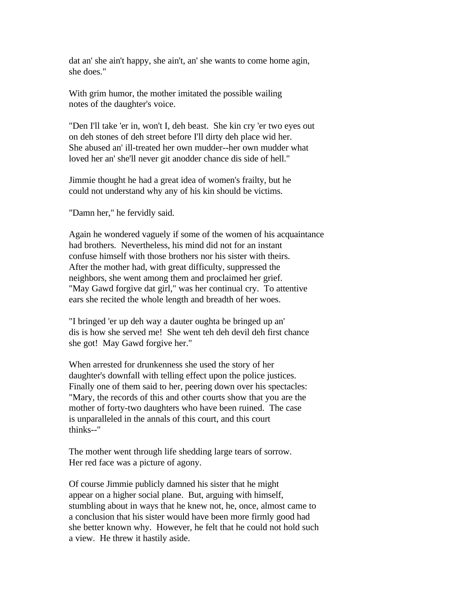dat an' she ain't happy, she ain't, an' she wants to come home agin, she does."

With grim humor, the mother imitated the possible wailing notes of the daughter's voice.

"Den I'll take 'er in, won't I, deh beast. She kin cry 'er two eyes out on deh stones of deh street before I'll dirty deh place wid her. She abused an' ill-treated her own mudder--her own mudder what loved her an' she'll never git anodder chance dis side of hell."

Jimmie thought he had a great idea of women's frailty, but he could not understand why any of his kin should be victims.

"Damn her," he fervidly said.

Again he wondered vaguely if some of the women of his acquaintance had brothers. Nevertheless, his mind did not for an instant confuse himself with those brothers nor his sister with theirs. After the mother had, with great difficulty, suppressed the neighbors, she went among them and proclaimed her grief. "May Gawd forgive dat girl," was her continual cry. To attentive ears she recited the whole length and breadth of her woes.

"I bringed 'er up deh way a dauter oughta be bringed up an' dis is how she served me! She went teh deh devil deh first chance she got! May Gawd forgive her."

When arrested for drunkenness she used the story of her daughter's downfall with telling effect upon the police justices. Finally one of them said to her, peering down over his spectacles: "Mary, the records of this and other courts show that you are the mother of forty-two daughters who have been ruined. The case is unparalleled in the annals of this court, and this court thinks--"

The mother went through life shedding large tears of sorrow. Her red face was a picture of agony.

Of course Jimmie publicly damned his sister that he might appear on a higher social plane. But, arguing with himself, stumbling about in ways that he knew not, he, once, almost came to a conclusion that his sister would have been more firmly good had she better known why. However, he felt that he could not hold such a view. He threw it hastily aside.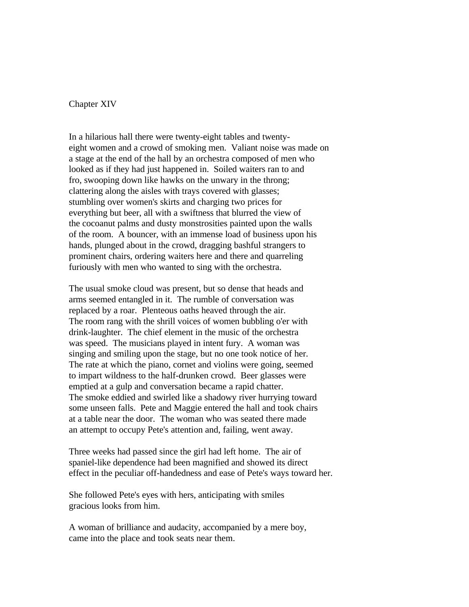Chapter XIV

In a hilarious hall there were twenty-eight tables and twentyeight women and a crowd of smoking men. Valiant noise was made on a stage at the end of the hall by an orchestra composed of men who looked as if they had just happened in. Soiled waiters ran to and fro, swooping down like hawks on the unwary in the throng; clattering along the aisles with trays covered with glasses; stumbling over women's skirts and charging two prices for everything but beer, all with a swiftness that blurred the view of the cocoanut palms and dusty monstrosities painted upon the walls of the room. A bouncer, with an immense load of business upon his hands, plunged about in the crowd, dragging bashful strangers to prominent chairs, ordering waiters here and there and quarreling furiously with men who wanted to sing with the orchestra.

The usual smoke cloud was present, but so dense that heads and arms seemed entangled in it. The rumble of conversation was replaced by a roar. Plenteous oaths heaved through the air. The room rang with the shrill voices of women bubbling o'er with drink-laughter. The chief element in the music of the orchestra was speed. The musicians played in intent fury. A woman was singing and smiling upon the stage, but no one took notice of her. The rate at which the piano, cornet and violins were going, seemed to impart wildness to the half-drunken crowd. Beer glasses were emptied at a gulp and conversation became a rapid chatter. The smoke eddied and swirled like a shadowy river hurrying toward some unseen falls. Pete and Maggie entered the hall and took chairs at a table near the door. The woman who was seated there made an attempt to occupy Pete's attention and, failing, went away.

Three weeks had passed since the girl had left home. The air of spaniel-like dependence had been magnified and showed its direct effect in the peculiar off-handedness and ease of Pete's ways toward her.

She followed Pete's eyes with hers, anticipating with smiles gracious looks from him.

A woman of brilliance and audacity, accompanied by a mere boy, came into the place and took seats near them.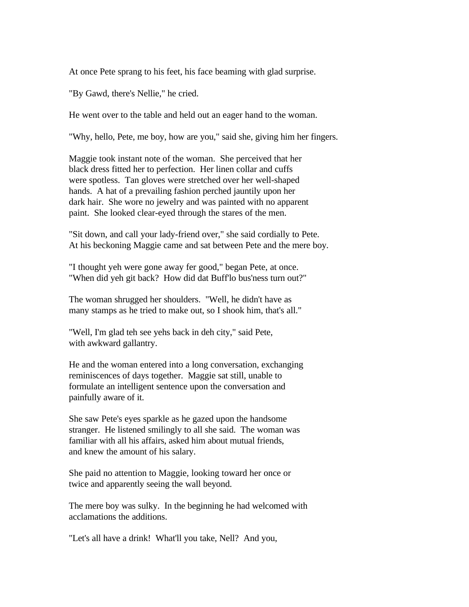At once Pete sprang to his feet, his face beaming with glad surprise.

"By Gawd, there's Nellie," he cried.

He went over to the table and held out an eager hand to the woman.

"Why, hello, Pete, me boy, how are you," said she, giving him her fingers.

Maggie took instant note of the woman. She perceived that her black dress fitted her to perfection. Her linen collar and cuffs were spotless. Tan gloves were stretched over her well-shaped hands. A hat of a prevailing fashion perched jauntily upon her dark hair. She wore no jewelry and was painted with no apparent paint. She looked clear-eyed through the stares of the men.

"Sit down, and call your lady-friend over," she said cordially to Pete. At his beckoning Maggie came and sat between Pete and the mere boy.

"I thought yeh were gone away fer good," began Pete, at once. "When did yeh git back? How did dat Buff'lo bus'ness turn out?"

The woman shrugged her shoulders. "Well, he didn't have as many stamps as he tried to make out, so I shook him, that's all."

"Well, I'm glad teh see yehs back in deh city," said Pete, with awkward gallantry.

He and the woman entered into a long conversation, exchanging reminiscences of days together. Maggie sat still, unable to formulate an intelligent sentence upon the conversation and painfully aware of it.

She saw Pete's eyes sparkle as he gazed upon the handsome stranger. He listened smilingly to all she said. The woman was familiar with all his affairs, asked him about mutual friends, and knew the amount of his salary.

She paid no attention to Maggie, looking toward her once or twice and apparently seeing the wall beyond.

The mere boy was sulky. In the beginning he had welcomed with acclamations the additions.

"Let's all have a drink! What'll you take, Nell? And you,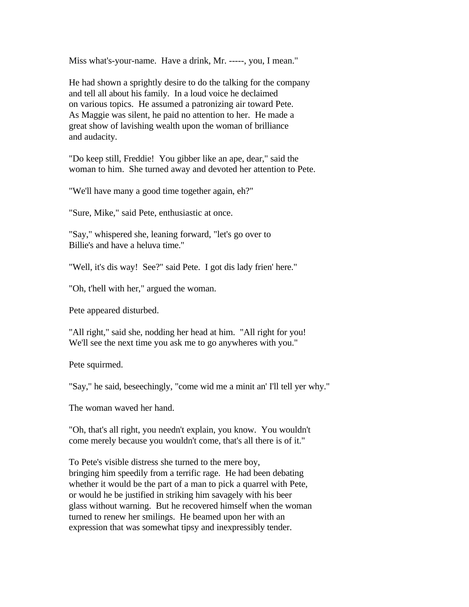Miss what's-your-name. Have a drink, Mr. -----, you, I mean."

He had shown a sprightly desire to do the talking for the company and tell all about his family. In a loud voice he declaimed on various topics. He assumed a patronizing air toward Pete. As Maggie was silent, he paid no attention to her. He made a great show of lavishing wealth upon the woman of brilliance and audacity.

"Do keep still, Freddie! You gibber like an ape, dear," said the woman to him. She turned away and devoted her attention to Pete.

"We'll have many a good time together again, eh?"

"Sure, Mike," said Pete, enthusiastic at once.

"Say," whispered she, leaning forward, "let's go over to Billie's and have a heluva time."

"Well, it's dis way! See?" said Pete. I got dis lady frien' here."

"Oh, t'hell with her," argued the woman.

Pete appeared disturbed.

"All right," said she, nodding her head at him. "All right for you! We'll see the next time you ask me to go anywheres with you."

Pete squirmed.

"Say," he said, beseechingly, "come wid me a minit an' I'll tell yer why."

The woman waved her hand.

"Oh, that's all right, you needn't explain, you know. You wouldn't come merely because you wouldn't come, that's all there is of it."

To Pete's visible distress she turned to the mere boy, bringing him speedily from a terrific rage. He had been debating whether it would be the part of a man to pick a quarrel with Pete, or would he be justified in striking him savagely with his beer glass without warning. But he recovered himself when the woman turned to renew her smilings. He beamed upon her with an expression that was somewhat tipsy and inexpressibly tender.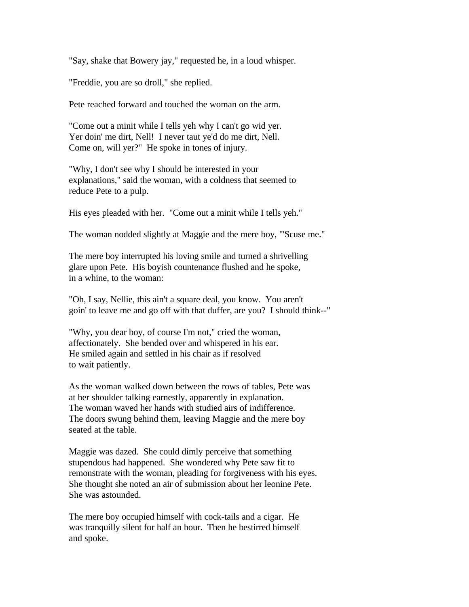"Say, shake that Bowery jay," requested he, in a loud whisper.

"Freddie, you are so droll," she replied.

Pete reached forward and touched the woman on the arm.

"Come out a minit while I tells yeh why I can't go wid yer. Yer doin' me dirt, Nell! I never taut ye'd do me dirt, Nell. Come on, will yer?" He spoke in tones of injury.

"Why, I don't see why I should be interested in your explanations," said the woman, with a coldness that seemed to reduce Pete to a pulp.

His eyes pleaded with her. "Come out a minit while I tells yeh."

The woman nodded slightly at Maggie and the mere boy, "'Scuse me."

The mere boy interrupted his loving smile and turned a shrivelling glare upon Pete. His boyish countenance flushed and he spoke, in a whine, to the woman:

"Oh, I say, Nellie, this ain't a square deal, you know. You aren't goin' to leave me and go off with that duffer, are you? I should think--"

"Why, you dear boy, of course I'm not," cried the woman, affectionately. She bended over and whispered in his ear. He smiled again and settled in his chair as if resolved to wait patiently.

As the woman walked down between the rows of tables, Pete was at her shoulder talking earnestly, apparently in explanation. The woman waved her hands with studied airs of indifference. The doors swung behind them, leaving Maggie and the mere boy seated at the table.

Maggie was dazed. She could dimly perceive that something stupendous had happened. She wondered why Pete saw fit to remonstrate with the woman, pleading for forgiveness with his eyes. She thought she noted an air of submission about her leonine Pete. She was astounded.

The mere boy occupied himself with cock-tails and a cigar. He was tranquilly silent for half an hour. Then he bestirred himself and spoke.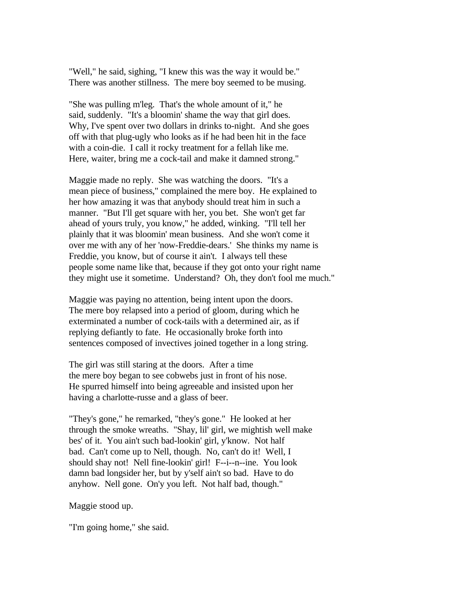"Well," he said, sighing, "I knew this was the way it would be." There was another stillness. The mere boy seemed to be musing.

"She was pulling m'leg. That's the whole amount of it," he said, suddenly. "It's a bloomin' shame the way that girl does. Why, I've spent over two dollars in drinks to-night. And she goes off with that plug-ugly who looks as if he had been hit in the face with a coin-die. I call it rocky treatment for a fellah like me. Here, waiter, bring me a cock-tail and make it damned strong."

Maggie made no reply. She was watching the doors. "It's a mean piece of business," complained the mere boy. He explained to her how amazing it was that anybody should treat him in such a manner. "But I'll get square with her, you bet. She won't get far ahead of yours truly, you know," he added, winking. "I'll tell her plainly that it was bloomin' mean business. And she won't come it over me with any of her 'now-Freddie-dears.' She thinks my name is Freddie, you know, but of course it ain't. I always tell these people some name like that, because if they got onto your right name they might use it sometime. Understand? Oh, they don't fool me much."

Maggie was paying no attention, being intent upon the doors. The mere boy relapsed into a period of gloom, during which he exterminated a number of cock-tails with a determined air, as if replying defiantly to fate. He occasionally broke forth into sentences composed of invectives joined together in a long string.

The girl was still staring at the doors. After a time the mere boy began to see cobwebs just in front of his nose. He spurred himself into being agreeable and insisted upon her having a charlotte-russe and a glass of beer.

"They's gone," he remarked, "they's gone." He looked at her through the smoke wreaths. "Shay, lil' girl, we mightish well make bes' of it. You ain't such bad-lookin' girl, y'know. Not half bad. Can't come up to Nell, though. No, can't do it! Well, I should shay not! Nell fine-lookin' girl! F--i--n--ine. You look damn bad longsider her, but by y'self ain't so bad. Have to do anyhow. Nell gone. On'y you left. Not half bad, though."

Maggie stood up.

"I'm going home," she said.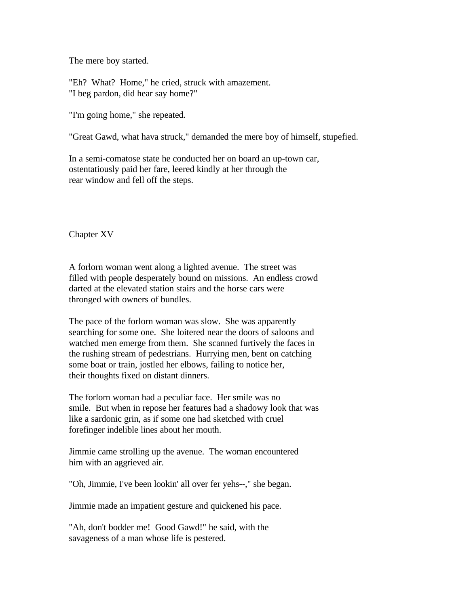The mere boy started.

"Eh? What? Home," he cried, struck with amazement. "I beg pardon, did hear say home?"

"I'm going home," she repeated.

"Great Gawd, what hava struck," demanded the mere boy of himself, stupefied.

In a semi-comatose state he conducted her on board an up-town car, ostentatiously paid her fare, leered kindly at her through the rear window and fell off the steps.

Chapter XV

A forlorn woman went along a lighted avenue. The street was filled with people desperately bound on missions. An endless crowd darted at the elevated station stairs and the horse cars were thronged with owners of bundles.

The pace of the forlorn woman was slow. She was apparently searching for some one. She loitered near the doors of saloons and watched men emerge from them. She scanned furtively the faces in the rushing stream of pedestrians. Hurrying men, bent on catching some boat or train, jostled her elbows, failing to notice her, their thoughts fixed on distant dinners.

The forlorn woman had a peculiar face. Her smile was no smile. But when in repose her features had a shadowy look that was like a sardonic grin, as if some one had sketched with cruel forefinger indelible lines about her mouth.

Jimmie came strolling up the avenue. The woman encountered him with an aggrieved air.

"Oh, Jimmie, I've been lookin' all over fer yehs--," she began.

Jimmie made an impatient gesture and quickened his pace.

"Ah, don't bodder me! Good Gawd!" he said, with the savageness of a man whose life is pestered.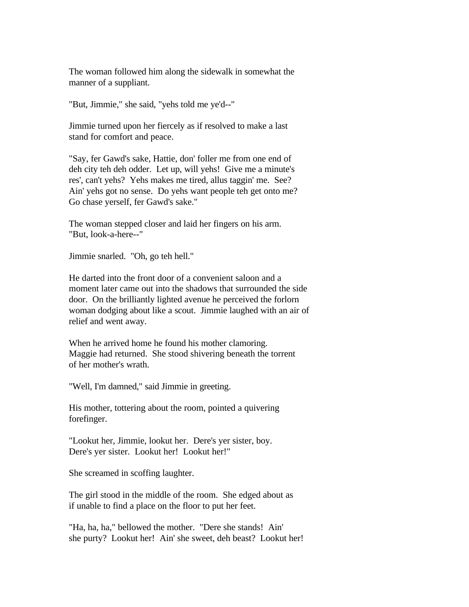The woman followed him along the sidewalk in somewhat the manner of a suppliant.

"But, Jimmie," she said, "yehs told me ye'd--"

Jimmie turned upon her fiercely as if resolved to make a last stand for comfort and peace.

"Say, fer Gawd's sake, Hattie, don' foller me from one end of deh city teh deh odder. Let up, will yehs! Give me a minute's res', can't yehs? Yehs makes me tired, allus taggin' me. See? Ain' yehs got no sense. Do yehs want people teh get onto me? Go chase yerself, fer Gawd's sake."

The woman stepped closer and laid her fingers on his arm. "But, look-a-here--"

Jimmie snarled. "Oh, go teh hell."

He darted into the front door of a convenient saloon and a moment later came out into the shadows that surrounded the side door. On the brilliantly lighted avenue he perceived the forlorn woman dodging about like a scout. Jimmie laughed with an air of relief and went away.

When he arrived home he found his mother clamoring. Maggie had returned. She stood shivering beneath the torrent of her mother's wrath.

"Well, I'm damned," said Jimmie in greeting.

His mother, tottering about the room, pointed a quivering forefinger.

"Lookut her, Jimmie, lookut her. Dere's yer sister, boy. Dere's yer sister. Lookut her! Lookut her!"

She screamed in scoffing laughter.

The girl stood in the middle of the room. She edged about as if unable to find a place on the floor to put her feet.

"Ha, ha, ha," bellowed the mother. "Dere she stands! Ain' she purty? Lookut her! Ain' she sweet, deh beast? Lookut her!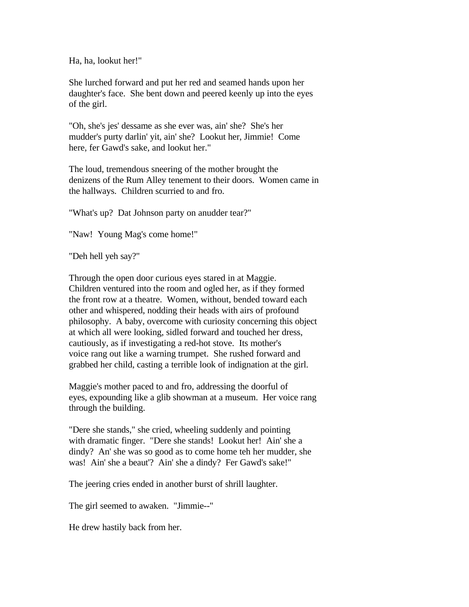Ha, ha, lookut her!"

She lurched forward and put her red and seamed hands upon her daughter's face. She bent down and peered keenly up into the eyes of the girl.

"Oh, she's jes' dessame as she ever was, ain' she? She's her mudder's purty darlin' yit, ain' she? Lookut her, Jimmie! Come here, fer Gawd's sake, and lookut her."

The loud, tremendous sneering of the mother brought the denizens of the Rum Alley tenement to their doors. Women came in the hallways. Children scurried to and fro.

"What's up? Dat Johnson party on anudder tear?"

"Naw! Young Mag's come home!"

"Deh hell yeh say?"

Through the open door curious eyes stared in at Maggie. Children ventured into the room and ogled her, as if they formed the front row at a theatre. Women, without, bended toward each other and whispered, nodding their heads with airs of profound philosophy. A baby, overcome with curiosity concerning this object at which all were looking, sidled forward and touched her dress, cautiously, as if investigating a red-hot stove. Its mother's voice rang out like a warning trumpet. She rushed forward and grabbed her child, casting a terrible look of indignation at the girl.

Maggie's mother paced to and fro, addressing the doorful of eyes, expounding like a glib showman at a museum. Her voice rang through the building.

"Dere she stands," she cried, wheeling suddenly and pointing with dramatic finger. "Dere she stands! Lookut her! Ain' she a dindy? An' she was so good as to come home teh her mudder, she was! Ain' she a beaut'? Ain' she a dindy? Fer Gawd's sake!"

The jeering cries ended in another burst of shrill laughter.

The girl seemed to awaken. "Jimmie--"

He drew hastily back from her.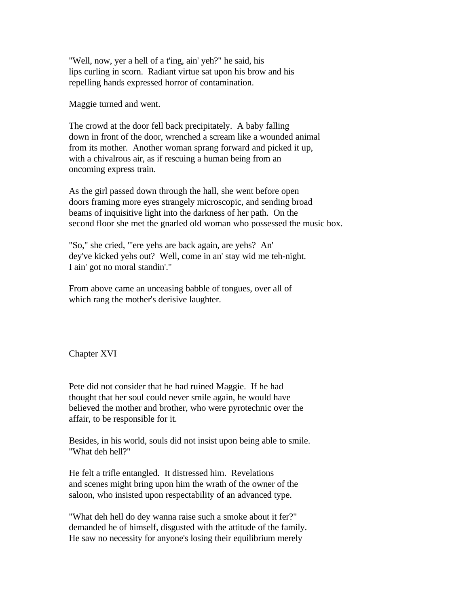"Well, now, yer a hell of a t'ing, ain' yeh?" he said, his lips curling in scorn. Radiant virtue sat upon his brow and his repelling hands expressed horror of contamination.

Maggie turned and went.

The crowd at the door fell back precipitately. A baby falling down in front of the door, wrenched a scream like a wounded animal from its mother. Another woman sprang forward and picked it up, with a chivalrous air, as if rescuing a human being from an oncoming express train.

As the girl passed down through the hall, she went before open doors framing more eyes strangely microscopic, and sending broad beams of inquisitive light into the darkness of her path. On the second floor she met the gnarled old woman who possessed the music box.

"So," she cried, "'ere yehs are back again, are yehs? An' dey've kicked yehs out? Well, come in an' stay wid me teh-night. I ain' got no moral standin'."

From above came an unceasing babble of tongues, over all of which rang the mother's derisive laughter.

Chapter XVI

Pete did not consider that he had ruined Maggie. If he had thought that her soul could never smile again, he would have believed the mother and brother, who were pyrotechnic over the affair, to be responsible for it.

Besides, in his world, souls did not insist upon being able to smile. "What deh hell?"

He felt a trifle entangled. It distressed him. Revelations and scenes might bring upon him the wrath of the owner of the saloon, who insisted upon respectability of an advanced type.

"What deh hell do dey wanna raise such a smoke about it fer?" demanded he of himself, disgusted with the attitude of the family. He saw no necessity for anyone's losing their equilibrium merely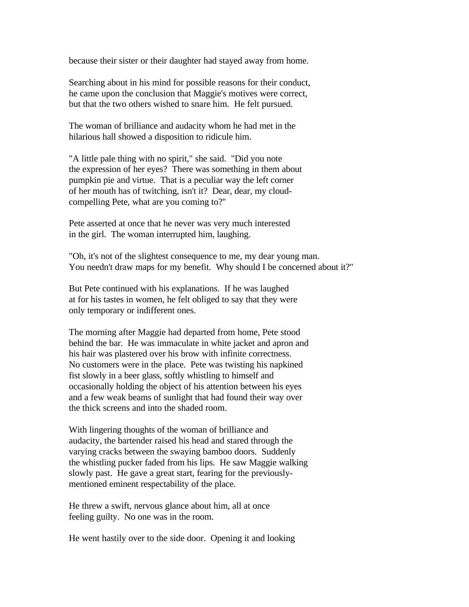because their sister or their daughter had stayed away from home.

Searching about in his mind for possible reasons for their conduct, he came upon the conclusion that Maggie's motives were correct, but that the two others wished to snare him. He felt pursued.

The woman of brilliance and audacity whom he had met in the hilarious hall showed a disposition to ridicule him.

"A little pale thing with no spirit," she said. "Did you note the expression of her eyes? There was something in them about pumpkin pie and virtue. That is a peculiar way the left corner of her mouth has of twitching, isn't it? Dear, dear, my cloudcompelling Pete, what are you coming to?"

Pete asserted at once that he never was very much interested in the girl. The woman interrupted him, laughing.

"Oh, it's not of the slightest consequence to me, my dear young man. You needn't draw maps for my benefit. Why should I be concerned about it?"

But Pete continued with his explanations. If he was laughed at for his tastes in women, he felt obliged to say that they were only temporary or indifferent ones.

The morning after Maggie had departed from home, Pete stood behind the bar. He was immaculate in white jacket and apron and his hair was plastered over his brow with infinite correctness. No customers were in the place. Pete was twisting his napkined fist slowly in a beer glass, softly whistling to himself and occasionally holding the object of his attention between his eyes and a few weak beams of sunlight that had found their way over the thick screens and into the shaded room.

With lingering thoughts of the woman of brilliance and audacity, the bartender raised his head and stared through the varying cracks between the swaying bamboo doors. Suddenly the whistling pucker faded from his lips. He saw Maggie walking slowly past. He gave a great start, fearing for the previouslymentioned eminent respectability of the place.

He threw a swift, nervous glance about him, all at once feeling guilty. No one was in the room.

He went hastily over to the side door. Opening it and looking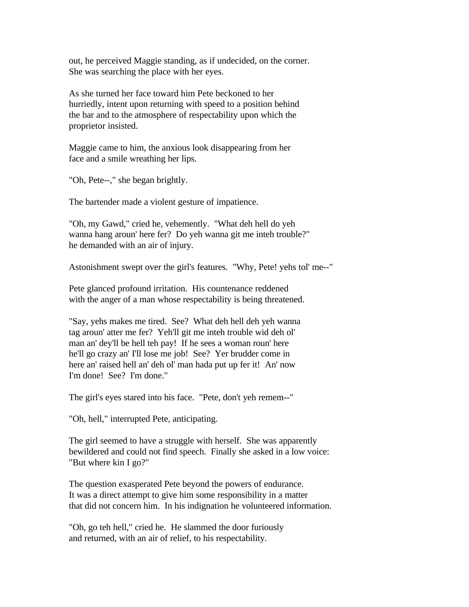out, he perceived Maggie standing, as if undecided, on the corner. She was searching the place with her eyes.

As she turned her face toward him Pete beckoned to her hurriedly, intent upon returning with speed to a position behind the bar and to the atmosphere of respectability upon which the proprietor insisted.

Maggie came to him, the anxious look disappearing from her face and a smile wreathing her lips.

"Oh, Pete--," she began brightly.

The bartender made a violent gesture of impatience.

"Oh, my Gawd," cried he, vehemently. "What deh hell do yeh wanna hang aroun' here fer? Do yeh wanna git me inteh trouble?" he demanded with an air of injury.

Astonishment swept over the girl's features. "Why, Pete! yehs tol' me--"

Pete glanced profound irritation. His countenance reddened with the anger of a man whose respectability is being threatened.

"Say, yehs makes me tired. See? What deh hell deh yeh wanna tag aroun' atter me fer? Yeh'll git me inteh trouble wid deh ol' man an' dey'll be hell teh pay! If he sees a woman roun' here he'll go crazy an' I'll lose me job! See? Yer brudder come in here an' raised hell an' deh ol' man hada put up fer it! An' now I'm done! See? I'm done."

The girl's eyes stared into his face. "Pete, don't yeh remem--"

"Oh, hell," interrupted Pete, anticipating.

The girl seemed to have a struggle with herself. She was apparently bewildered and could not find speech. Finally she asked in a low voice: "But where kin I go?"

The question exasperated Pete beyond the powers of endurance. It was a direct attempt to give him some responsibility in a matter that did not concern him. In his indignation he volunteered information.

"Oh, go teh hell," cried he. He slammed the door furiously and returned, with an air of relief, to his respectability.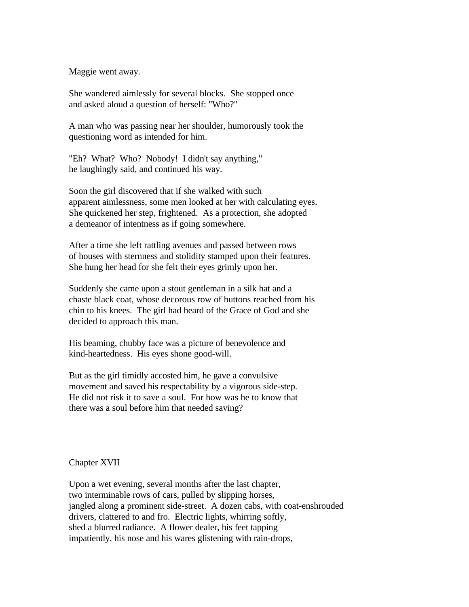Maggie went away.

She wandered aimlessly for several blocks. She stopped once and asked aloud a question of herself: "Who?"

A man who was passing near her shoulder, humorously took the questioning word as intended for him.

"Eh? What? Who? Nobody! I didn't say anything," he laughingly said, and continued his way.

Soon the girl discovered that if she walked with such apparent aimlessness, some men looked at her with calculating eyes. She quickened her step, frightened. As a protection, she adopted a demeanor of intentness as if going somewhere.

After a time she left rattling avenues and passed between rows of houses with sternness and stolidity stamped upon their features. She hung her head for she felt their eyes grimly upon her.

Suddenly she came upon a stout gentleman in a silk hat and a chaste black coat, whose decorous row of buttons reached from his chin to his knees. The girl had heard of the Grace of God and she decided to approach this man.

His beaming, chubby face was a picture of benevolence and kind-heartedness. His eyes shone good-will.

But as the girl timidly accosted him, he gave a convulsive movement and saved his respectability by a vigorous side-step. He did not risk it to save a soul. For how was he to know that there was a soul before him that needed saving?

Chapter XVII

Upon a wet evening, several months after the last chapter, two interminable rows of cars, pulled by slipping horses, jangled along a prominent side-street. A dozen cabs, with coat-enshrouded drivers, clattered to and fro. Electric lights, whirring softly, shed a blurred radiance. A flower dealer, his feet tapping impatiently, his nose and his wares glistening with rain-drops,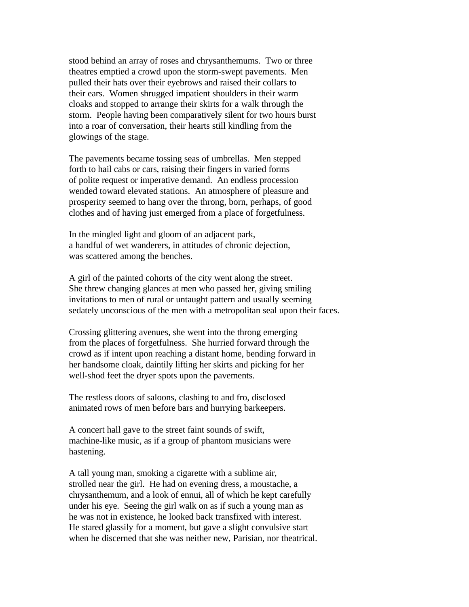stood behind an array of roses and chrysanthemums. Two or three theatres emptied a crowd upon the storm-swept pavements. Men pulled their hats over their eyebrows and raised their collars to their ears. Women shrugged impatient shoulders in their warm cloaks and stopped to arrange their skirts for a walk through the storm. People having been comparatively silent for two hours burst into a roar of conversation, their hearts still kindling from the glowings of the stage.

The pavements became tossing seas of umbrellas. Men stepped forth to hail cabs or cars, raising their fingers in varied forms of polite request or imperative demand. An endless procession wended toward elevated stations. An atmosphere of pleasure and prosperity seemed to hang over the throng, born, perhaps, of good clothes and of having just emerged from a place of forgetfulness.

In the mingled light and gloom of an adjacent park, a handful of wet wanderers, in attitudes of chronic dejection, was scattered among the benches.

A girl of the painted cohorts of the city went along the street. She threw changing glances at men who passed her, giving smiling invitations to men of rural or untaught pattern and usually seeming sedately unconscious of the men with a metropolitan seal upon their faces.

Crossing glittering avenues, she went into the throng emerging from the places of forgetfulness. She hurried forward through the crowd as if intent upon reaching a distant home, bending forward in her handsome cloak, daintily lifting her skirts and picking for her well-shod feet the dryer spots upon the pavements.

The restless doors of saloons, clashing to and fro, disclosed animated rows of men before bars and hurrying barkeepers.

A concert hall gave to the street faint sounds of swift, machine-like music, as if a group of phantom musicians were hastening.

A tall young man, smoking a cigarette with a sublime air, strolled near the girl. He had on evening dress, a moustache, a chrysanthemum, and a look of ennui, all of which he kept carefully under his eye. Seeing the girl walk on as if such a young man as he was not in existence, he looked back transfixed with interest. He stared glassily for a moment, but gave a slight convulsive start when he discerned that she was neither new, Parisian, nor theatrical.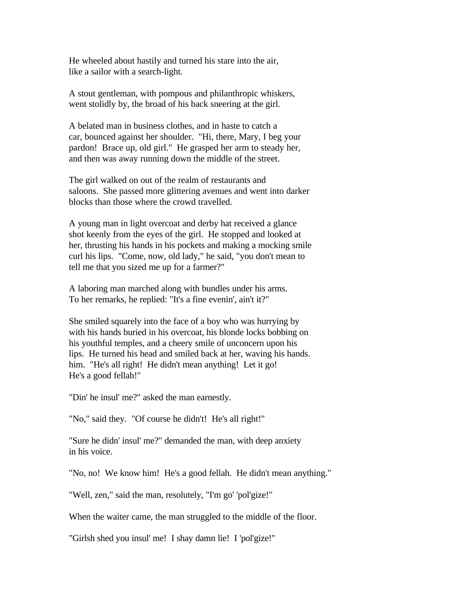He wheeled about hastily and turned his stare into the air, like a sailor with a search-light.

A stout gentleman, with pompous and philanthropic whiskers, went stolidly by, the broad of his back sneering at the girl.

A belated man in business clothes, and in haste to catch a car, bounced against her shoulder. "Hi, there, Mary, I beg your pardon! Brace up, old girl." He grasped her arm to steady her, and then was away running down the middle of the street.

The girl walked on out of the realm of restaurants and saloons. She passed more glittering avenues and went into darker blocks than those where the crowd travelled.

A young man in light overcoat and derby hat received a glance shot keenly from the eyes of the girl. He stopped and looked at her, thrusting his hands in his pockets and making a mocking smile curl his lips. "Come, now, old lady," he said, "you don't mean to tell me that you sized me up for a farmer?"

A laboring man marched along with bundles under his arms. To her remarks, he replied: "It's a fine evenin', ain't it?"

She smiled squarely into the face of a boy who was hurrying by with his hands buried in his overcoat, his blonde locks bobbing on his youthful temples, and a cheery smile of unconcern upon his lips. He turned his head and smiled back at her, waving his hands. him. "He's all right! He didn't mean anything! Let it go! He's a good fellah!"

"Din' he insul' me?" asked the man earnestly.

"No," said they. "Of course he didn't! He's all right!"

"Sure he didn' insul' me?" demanded the man, with deep anxiety in his voice.

"No, no! We know him! He's a good fellah. He didn't mean anything."

"Well, zen," said the man, resolutely, "I'm go' 'pol'gize!"

When the waiter came, the man struggled to the middle of the floor.

"Girlsh shed you insul' me! I shay damn lie! I 'pol'gize!"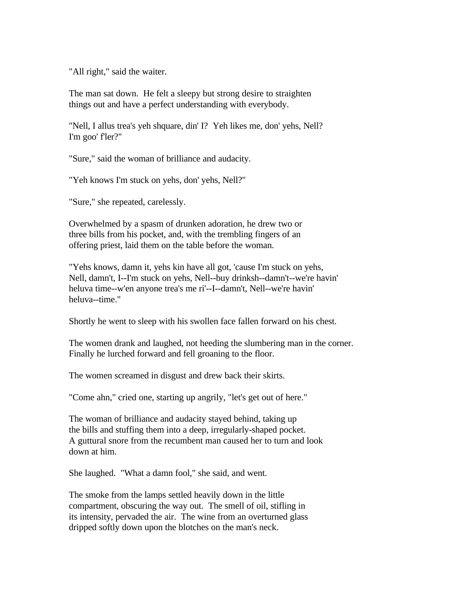"All right," said the waiter.

The man sat down. He felt a sleepy but strong desire to straighten things out and have a perfect understanding with everybody.

"Nell, I allus trea's yeh shquare, din' I? Yeh likes me, don' yehs, Nell? I'm goo' f'ler?"

"Sure," said the woman of brilliance and audacity.

"Yeh knows I'm stuck on yehs, don' yehs, Nell?"

"Sure," she repeated, carelessly.

Overwhelmed by a spasm of drunken adoration, he drew two or three bills from his pocket, and, with the trembling fingers of an offering priest, laid them on the table before the woman.

"Yehs knows, damn it, yehs kin have all got, 'cause I'm stuck on yehs, Nell, damn't, I--I'm stuck on yehs, Nell--buy drinksh--damn't--we're havin' heluva time--w'en anyone trea's me ri'--I--damn't, Nell--we're havin' heluva--time."

Shortly he went to sleep with his swollen face fallen forward on his chest.

The women drank and laughed, not heeding the slumbering man in the corner. Finally he lurched forward and fell groaning to the floor.

The women screamed in disgust and drew back their skirts.

"Come ahn," cried one, starting up angrily, "let's get out of here."

The woman of brilliance and audacity stayed behind, taking up the bills and stuffing them into a deep, irregularly-shaped pocket. A guttural snore from the recumbent man caused her to turn and look down at him.

She laughed. "What a damn fool," she said, and went.

The smoke from the lamps settled heavily down in the little compartment, obscuring the way out. The smell of oil, stifling in its intensity, pervaded the air. The wine from an overturned glass dripped softly down upon the blotches on the man's neck.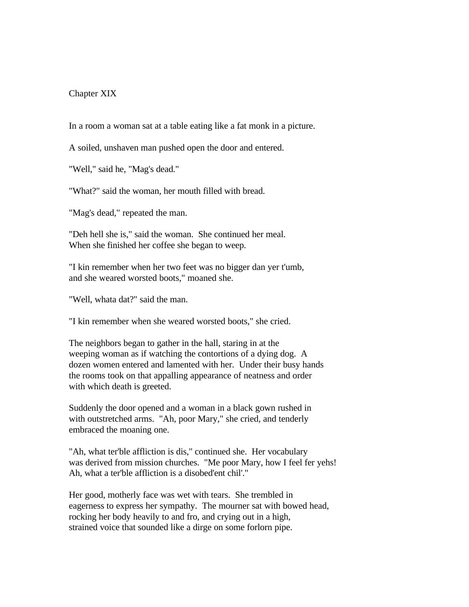## Chapter XIX

In a room a woman sat at a table eating like a fat monk in a picture.

A soiled, unshaven man pushed open the door and entered.

"Well," said he, "Mag's dead."

"What?" said the woman, her mouth filled with bread.

"Mag's dead," repeated the man.

"Deh hell she is," said the woman. She continued her meal. When she finished her coffee she began to weep.

"I kin remember when her two feet was no bigger dan yer t'umb, and she weared worsted boots," moaned she.

"Well, whata dat?" said the man.

"I kin remember when she weared worsted boots," she cried.

The neighbors began to gather in the hall, staring in at the weeping woman as if watching the contortions of a dying dog. A dozen women entered and lamented with her. Under their busy hands the rooms took on that appalling appearance of neatness and order with which death is greeted.

Suddenly the door opened and a woman in a black gown rushed in with outstretched arms. "Ah, poor Mary," she cried, and tenderly embraced the moaning one.

"Ah, what ter'ble affliction is dis," continued she. Her vocabulary was derived from mission churches. "Me poor Mary, how I feel fer yehs! Ah, what a ter'ble affliction is a disobed'ent chil'."

Her good, motherly face was wet with tears. She trembled in eagerness to express her sympathy. The mourner sat with bowed head, rocking her body heavily to and fro, and crying out in a high, strained voice that sounded like a dirge on some forlorn pipe.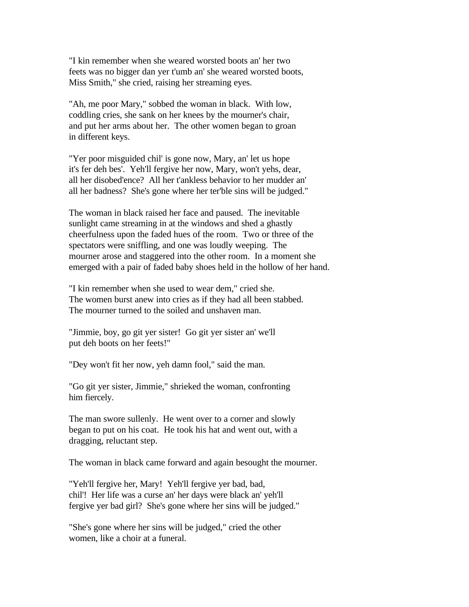"I kin remember when she weared worsted boots an' her two feets was no bigger dan yer t'umb an' she weared worsted boots, Miss Smith," she cried, raising her streaming eyes.

"Ah, me poor Mary," sobbed the woman in black. With low, coddling cries, she sank on her knees by the mourner's chair, and put her arms about her. The other women began to groan in different keys.

"Yer poor misguided chil' is gone now, Mary, an' let us hope it's fer deh bes'. Yeh'll fergive her now, Mary, won't yehs, dear, all her disobed'ence? All her t'ankless behavior to her mudder an' all her badness? She's gone where her ter'ble sins will be judged."

The woman in black raised her face and paused. The inevitable sunlight came streaming in at the windows and shed a ghastly cheerfulness upon the faded hues of the room. Two or three of the spectators were sniffling, and one was loudly weeping. The mourner arose and staggered into the other room. In a moment she emerged with a pair of faded baby shoes held in the hollow of her hand.

"I kin remember when she used to wear dem," cried she. The women burst anew into cries as if they had all been stabbed. The mourner turned to the soiled and unshaven man.

"Jimmie, boy, go git yer sister! Go git yer sister an' we'll put deh boots on her feets!"

"Dey won't fit her now, yeh damn fool," said the man.

"Go git yer sister, Jimmie," shrieked the woman, confronting him fiercely.

The man swore sullenly. He went over to a corner and slowly began to put on his coat. He took his hat and went out, with a dragging, reluctant step.

The woman in black came forward and again besought the mourner.

"Yeh'll fergive her, Mary! Yeh'll fergive yer bad, bad, chil'! Her life was a curse an' her days were black an' yeh'll fergive yer bad girl? She's gone where her sins will be judged."

"She's gone where her sins will be judged," cried the other women, like a choir at a funeral.